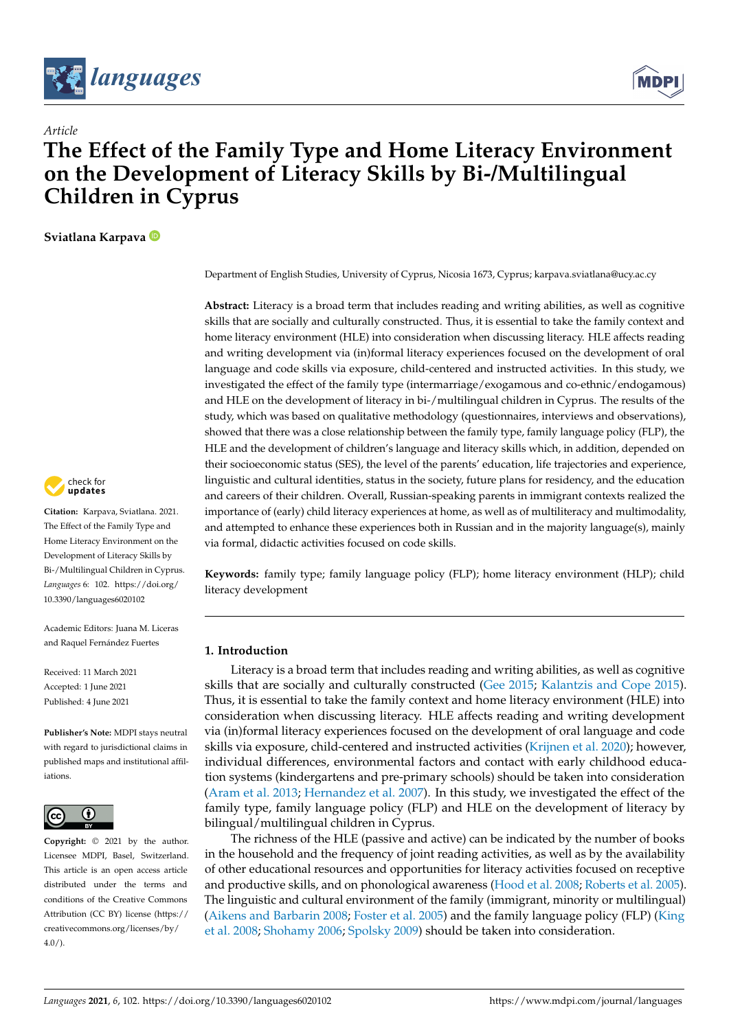



# *Article* **The Effect of the Family Type and Home Literacy Environment on the Development of Literacy Skills by Bi-/Multilingual Children in Cyprus**

**Sviatlana Karpava**

check for updates

**Citation:** Karpava, Sviatlana. 2021. The Effect of the Family Type and Home Literacy Environment on the Development of Literacy Skills by Bi-/Multilingual Children in Cyprus. *Languages* 6: 102. [https://doi.org/](https://doi.org/10.3390/languages6020102) [10.3390/languages6020102](https://doi.org/10.3390/languages6020102)

Academic Editors: Juana M. Liceras and Raquel Fernández Fuertes

Received: 11 March 2021 Accepted: 1 June 2021 Published: 4 June 2021

**Publisher's Note:** MDPI stays neutral with regard to jurisdictional claims in published maps and institutional affiliations.



**Copyright:** © 2021 by the author. Licensee MDPI, Basel, Switzerland. This article is an open access article distributed under the terms and conditions of the Creative Commons Attribution (CC BY) license (https:/[/](https://creativecommons.org/licenses/by/4.0/) [creativecommons.org/licenses/by/](https://creativecommons.org/licenses/by/4.0/)  $4.0/$ ).

Department of English Studies, University of Cyprus, Nicosia 1673, Cyprus; karpava.sviatlana@ucy.ac.cy

**Abstract:** Literacy is a broad term that includes reading and writing abilities, as well as cognitive skills that are socially and culturally constructed. Thus, it is essential to take the family context and home literacy environment (HLE) into consideration when discussing literacy. HLE affects reading and writing development via (in)formal literacy experiences focused on the development of oral language and code skills via exposure, child-centered and instructed activities. In this study, we investigated the effect of the family type (intermarriage/exogamous and co-ethnic/endogamous) and HLE on the development of literacy in bi-/multilingual children in Cyprus. The results of the study, which was based on qualitative methodology (questionnaires, interviews and observations), showed that there was a close relationship between the family type, family language policy (FLP), the HLE and the development of children's language and literacy skills which, in addition, depended on their socioeconomic status (SES), the level of the parents' education, life trajectories and experience, linguistic and cultural identities, status in the society, future plans for residency, and the education and careers of their children. Overall, Russian-speaking parents in immigrant contexts realized the importance of (early) child literacy experiences at home, as well as of multiliteracy and multimodality, and attempted to enhance these experiences both in Russian and in the majority language(s), mainly via formal, didactic activities focused on code skills.

**Keywords:** family type; family language policy (FLP); home literacy environment (HLP); child literacy development

# **1. Introduction**

Literacy is a broad term that includes reading and writing abilities, as well as cognitive skills that are socially and culturally constructed [\(Gee](#page-26-0) [2015;](#page-26-0) [Kalantzis and Cope](#page-27-0) [2015\)](#page-27-0). Thus, it is essential to take the family context and home literacy environment (HLE) into consideration when discussing literacy. HLE affects reading and writing development via (in)formal literacy experiences focused on the development of oral language and code skills via exposure, child-centered and instructed activities [\(Krijnen et al.](#page-28-0) [2020\)](#page-28-0); however, individual differences, environmental factors and contact with early childhood education systems (kindergartens and pre-primary schools) should be taken into consideration [\(Aram et al.](#page-24-0) [2013;](#page-24-0) [Hernandez et al.](#page-27-1) [2007\)](#page-27-1). In this study, we investigated the effect of the family type, family language policy (FLP) and HLE on the development of literacy by bilingual/multilingual children in Cyprus.

The richness of the HLE (passive and active) can be indicated by the number of books in the household and the frequency of joint reading activities, as well as by the availability of other educational resources and opportunities for literacy activities focused on receptive and productive skills, and on phonological awareness [\(Hood et al.](#page-27-2) [2008;](#page-27-2) [Roberts et al.](#page-29-0) [2005\)](#page-29-0). The linguistic and cultural environment of the family (immigrant, minority or multilingual) [\(Aikens and Barbarin](#page-24-1) [2008;](#page-24-1) [Foster et al.](#page-26-1) [2005\)](#page-26-1) and the family language policy (FLP) [\(King](#page-27-3) [et al.](#page-27-3) [2008;](#page-27-3) [Shohamy](#page-30-0) [2006;](#page-30-0) [Spolsky](#page-30-1) [2009\)](#page-30-1) should be taken into consideration.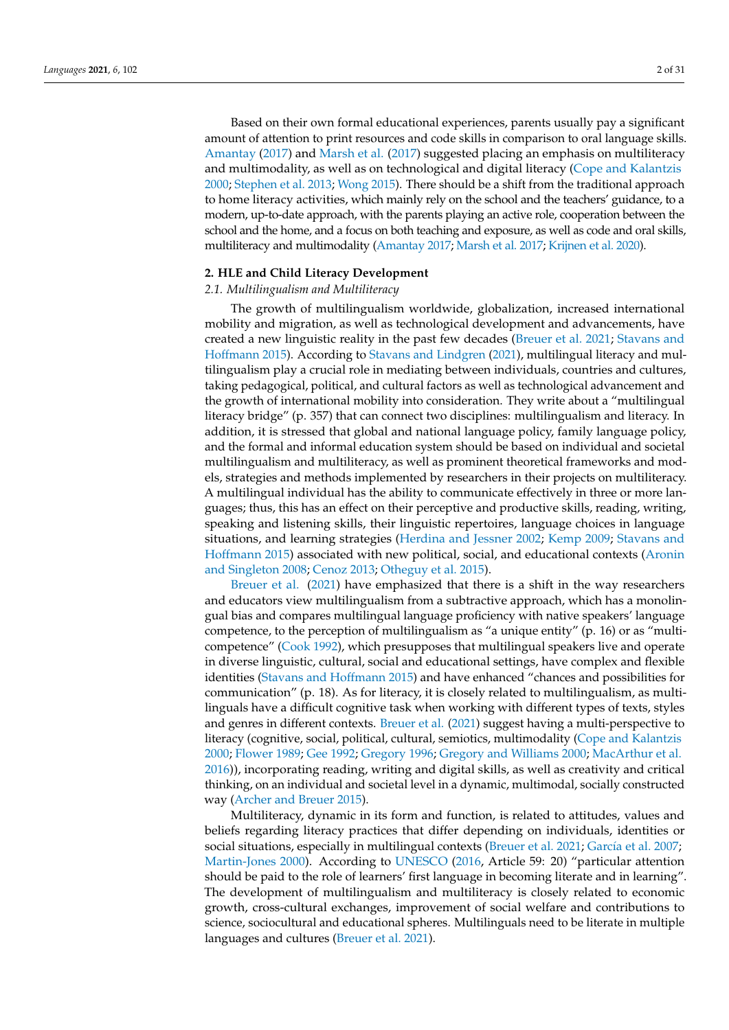Based on their own formal educational experiences, parents usually pay a significant amount of attention to print resources and code skills in comparison to oral language skills. [Amantay](#page-24-2) [\(2017\)](#page-24-2) and [Marsh et al.](#page-28-1) [\(2017\)](#page-28-1) suggested placing an emphasis on multiliteracy and multimodality, as well as on technological and digital literacy [\(Cope and Kalantzis](#page-25-0) [2000;](#page-25-0) [Stephen et al.](#page-30-2) [2013;](#page-30-2) [Wong](#page-30-3) [2015\)](#page-30-3). There should be a shift from the traditional approach to home literacy activities, which mainly rely on the school and the teachers' guidance, to a modern, up-to-date approach, with the parents playing an active role, cooperation between the school and the home, and a focus on both teaching and exposure, as well as code and oral skills, multiliteracy and multimodality [\(Amantay](#page-24-2) [2017;](#page-24-2) [Marsh et al.](#page-28-1) [2017;](#page-28-1) [Krijnen et al.](#page-28-0) [2020\)](#page-28-0).

#### **2. HLE and Child Literacy Development**

## *2.1. Multilingualism and Multiliteracy*

The growth of multilingualism worldwide, globalization, increased international mobility and migration, as well as technological development and advancements, have created a new linguistic reality in the past few decades [\(Breuer et al.](#page-25-1) [2021;](#page-25-1) [Stavans and](#page-30-4) [Hoffmann](#page-30-4) [2015\)](#page-30-4). According to [Stavans and Lindgren](#page-30-5) [\(2021\)](#page-30-5), multilingual literacy and multilingualism play a crucial role in mediating between individuals, countries and cultures, taking pedagogical, political, and cultural factors as well as technological advancement and the growth of international mobility into consideration. They write about a "multilingual literacy bridge" (p. 357) that can connect two disciplines: multilingualism and literacy. In addition, it is stressed that global and national language policy, family language policy, and the formal and informal education system should be based on individual and societal multilingualism and multiliteracy, as well as prominent theoretical frameworks and models, strategies and methods implemented by researchers in their projects on multiliteracy. A multilingual individual has the ability to communicate effectively in three or more languages; thus, this has an effect on their perceptive and productive skills, reading, writing, speaking and listening skills, their linguistic repertoires, language choices in language situations, and learning strategies [\(Herdina and Jessner](#page-27-4) [2002;](#page-27-4) [Kemp](#page-27-5) [2009;](#page-27-5) [Stavans and](#page-30-4) [Hoffmann](#page-30-4) [2015\)](#page-30-4) associated with new political, social, and educational contexts [\(Aronin](#page-25-2) [and Singleton](#page-25-2) [2008;](#page-25-2) [Cenoz](#page-25-3) [2013;](#page-25-3) [Otheguy et al.](#page-29-1) [2015\)](#page-29-1).

[Breuer et al.](#page-25-1) [\(2021\)](#page-25-1) have emphasized that there is a shift in the way researchers and educators view multilingualism from a subtractive approach, which has a monolingual bias and compares multilingual language proficiency with native speakers' language competence, to the perception of multilingualism as "a unique entity" (p. 16) or as "multicompetence" [\(Cook](#page-25-4) [1992\)](#page-25-4), which presupposes that multilingual speakers live and operate in diverse linguistic, cultural, social and educational settings, have complex and flexible identities [\(Stavans and Hoffmann](#page-30-4) [2015\)](#page-30-4) and have enhanced "chances and possibilities for communication" (p. 18). As for literacy, it is closely related to multilingualism, as multilinguals have a difficult cognitive task when working with different types of texts, styles and genres in different contexts. [Breuer et al.](#page-25-1) [\(2021\)](#page-25-1) suggest having a multi-perspective to literacy (cognitive, social, political, cultural, semiotics, multimodality [\(Cope and Kalantzis](#page-25-0) [2000;](#page-25-0) [Flower](#page-26-2) [1989;](#page-26-2) [Gee](#page-26-3) [1992;](#page-26-3) [Gregory](#page-26-4) [1996;](#page-26-4) [Gregory and Williams](#page-26-5) [2000;](#page-26-5) [MacArthur et al.](#page-28-2) [2016\)](#page-28-2)), incorporating reading, writing and digital skills, as well as creativity and critical thinking, on an individual and societal level in a dynamic, multimodal, socially constructed way [\(Archer and Breuer](#page-25-5) [2015\)](#page-25-5).

Multiliteracy, dynamic in its form and function, is related to attitudes, values and beliefs regarding literacy practices that differ depending on individuals, identities or social situations, especially in multilingual contexts [\(Breuer et al.](#page-25-1) [2021;](#page-25-1) Garcí[a et al.](#page-26-6) [2007;](#page-26-6) [Martin-Jones](#page-28-3) [2000\)](#page-28-3). According to [UNESCO](#page-30-6) [\(2016,](#page-30-6) Article 59: 20) "particular attention should be paid to the role of learners' first language in becoming literate and in learning". The development of multilingualism and multiliteracy is closely related to economic growth, cross-cultural exchanges, improvement of social welfare and contributions to science, sociocultural and educational spheres. Multilinguals need to be literate in multiple languages and cultures [\(Breuer et al.](#page-25-1) [2021\)](#page-25-1).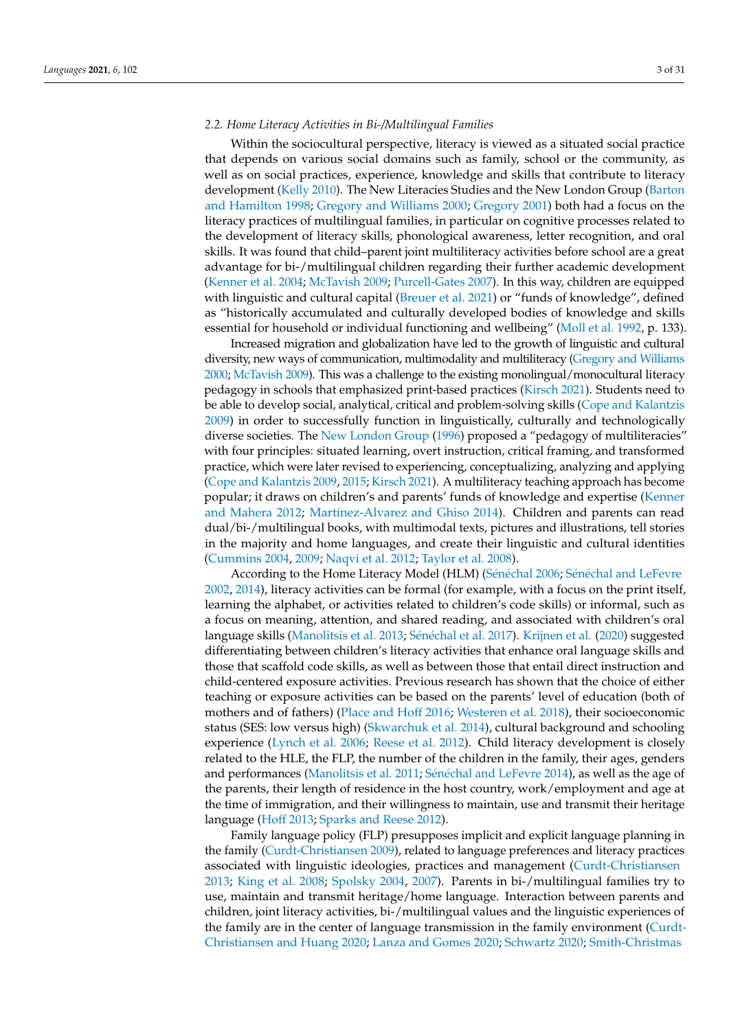## *2.2. Home Literacy Activities in Bi-/Multilingual Families*

Within the sociocultural perspective, literacy is viewed as a situated social practice that depends on various social domains such as family, school or the community, as well as on social practices, experience, knowledge and skills that contribute to literacy development [\(Kelly](#page-27-6) [2010\)](#page-27-6). The New Literacies Studies and the New London Group [\(Barton](#page-25-6) [and Hamilton](#page-25-6) [1998;](#page-25-6) [Gregory and Williams](#page-26-5) [2000;](#page-26-5) [Gregory](#page-27-7) [2001\)](#page-27-7) both had a focus on the literacy practices of multilingual families, in particular on cognitive processes related to the development of literacy skills, phonological awareness, letter recognition, and oral skills. It was found that child–parent joint multiliteracy activities before school are a great advantage for bi-/multilingual children regarding their further academic development [\(Kenner et al.](#page-27-8) [2004;](#page-27-8) [McTavish](#page-28-4) [2009;](#page-28-4) [Purcell-Gates](#page-29-2) [2007\)](#page-29-2). In this way, children are equipped with linguistic and cultural capital [\(Breuer et al.](#page-25-1) [2021\)](#page-25-1) or "funds of knowledge", defined as "historically accumulated and culturally developed bodies of knowledge and skills essential for household or individual functioning and wellbeing" [\(Moll et al.](#page-28-5) [1992,](#page-28-5) p. 133).

Increased migration and globalization have led to the growth of linguistic and cultural diversity, new ways of communication, multimodality and multiliteracy [\(Gregory and Williams](#page-26-5) [2000;](#page-26-5) [McTavish](#page-28-4) [2009\)](#page-28-4). This was a challenge to the existing monolingual/monocultural literacy pedagogy in schools that emphasized print-based practices [\(Kirsch](#page-27-9) [2021\)](#page-27-9). Students need to be able to develop social, analytical, critical and problem-solving skills [\(Cope and Kalantzis](#page-25-7) [2009\)](#page-25-7) in order to successfully function in linguistically, culturally and technologically diverse societies. The [New London Group](#page-28-6) [\(1996\)](#page-28-6) proposed a "pedagogy of multiliteracies" with four principles: situated learning, overt instruction, critical framing, and transformed practice, which were later revised to experiencing, conceptualizing, analyzing and applying [\(Cope and Kalantzis](#page-25-7) [2009,](#page-25-7) [2015;](#page-25-8) [Kirsch](#page-27-9) [2021\)](#page-27-9). A multiliteracy teaching approach has become popular; it draws on children's and parents' funds of knowledge and expertise [\(Kenner](#page-27-10) [and Mahera](#page-27-10) [2012;](#page-27-10) Martí[nez-Alvarez and Ghiso](#page-28-7) [2014\)](#page-28-7). Children and parents can read dual/bi-/multilingual books, with multimodal texts, pictures and illustrations, tell stories in the majority and home languages, and create their linguistic and cultural identities [\(Cummins](#page-25-9) [2004,](#page-25-9) [2009;](#page-26-7) [Naqvi et al.](#page-28-8) [2012;](#page-28-8) [Taylor et al.](#page-30-7) [2008\)](#page-30-7).

According to the Home Literacy Model (HLM) (Séné[chal](#page-30-8) [2006;](#page-30-8) Séné[chal and LeFevre](#page-29-3) [2002,](#page-29-3) [2014\)](#page-30-9), literacy activities can be formal (for example, with a focus on the print itself, learning the alphabet, or activities related to children's code skills) or informal, such as a focus on meaning, attention, and shared reading, and associated with children's oral language skills [\(Manolitsis et al.](#page-28-9) [2013;](#page-28-9) Séné[chal et al.](#page-30-10) [2017\)](#page-30-10). [Krijnen et al.](#page-28-0) [\(2020\)](#page-28-0) suggested differentiating between children's literacy activities that enhance oral language skills and those that scaffold code skills, as well as between those that entail direct instruction and child-centered exposure activities. Previous research has shown that the choice of either teaching or exposure activities can be based on the parents' level of education (both of mothers and of fathers) [\(Place and Hoff](#page-29-4) [2016;](#page-29-4) [Westeren et al.](#page-30-11) [2018\)](#page-30-11), their socioeconomic status (SES: low versus high) [\(Skwarchuk et al.](#page-30-12) [2014\)](#page-30-12), cultural background and schooling experience [\(Lynch et al.](#page-28-10) [2006;](#page-28-10) [Reese et al.](#page-29-5) [2012\)](#page-29-5). Child literacy development is closely related to the HLE, the FLP, the number of the children in the family, their ages, genders and performances [\(Manolitsis et al.](#page-28-11) [2011;](#page-28-11) Séné[chal and LeFevre](#page-30-9) [2014\)](#page-30-9), as well as the age of the parents, their length of residence in the host country, work/employment and age at the time of immigration, and their willingness to maintain, use and transmit their heritage language [\(Hoff](#page-27-11) [2013;](#page-27-11) [Sparks and Reese](#page-30-13) [2012\)](#page-30-13).

Family language policy (FLP) presupposes implicit and explicit language planning in the family [\(Curdt-Christiansen](#page-26-8) [2009\)](#page-26-8), related to language preferences and literacy practices associated with linguistic ideologies, practices and management [\(Curdt-Christiansen](#page-26-9) [2013;](#page-26-9) [King et al.](#page-27-3) [2008;](#page-27-3) [Spolsky](#page-30-14) [2004,](#page-30-14) [2007\)](#page-30-15). Parents in bi-/multilingual families try to use, maintain and transmit heritage/home language. Interaction between parents and children, joint literacy activities, bi-/multilingual values and the linguistic experiences of the family are in the center of language transmission in the family environment [\(Curdt-](#page-26-10)[Christiansen and Huang](#page-26-10) [2020;](#page-26-10) [Lanza and Gomes](#page-28-12) [2020;](#page-28-12) [Schwartz](#page-29-6) [2020;](#page-29-6) [Smith-Christmas](#page-30-16)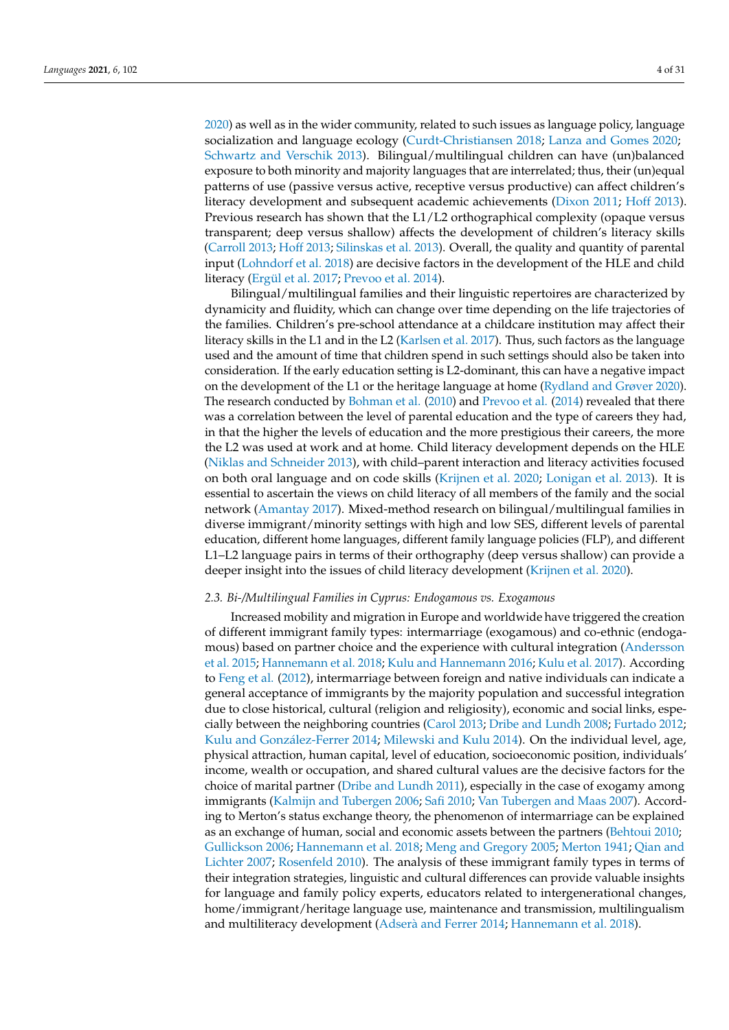[2020\)](#page-30-16) as well as in the wider community, related to such issues as language policy, language socialization and language ecology [\(Curdt-Christiansen](#page-26-11) [2018;](#page-26-11) [Lanza and Gomes](#page-28-12) [2020;](#page-28-12) [Schwartz and Verschik](#page-29-7) [2013\)](#page-29-7). Bilingual/multilingual children can have (un)balanced exposure to both minority and majority languages that are interrelated; thus, their (un)equal patterns of use (passive versus active, receptive versus productive) can affect children's literacy development and subsequent academic achievements [\(Dixon](#page-26-12) [2011;](#page-26-12) [Hoff](#page-27-11) [2013\)](#page-27-11). Previous research has shown that the L1/L2 orthographical complexity (opaque versus transparent; deep versus shallow) affects the development of children's literacy skills [\(Carroll](#page-25-10) [2013;](#page-25-10) [Hoff](#page-27-11) [2013;](#page-27-11) [Silinskas et al.](#page-30-17) [2013\)](#page-30-17). Overall, the quality and quantity of parental input [\(Lohndorf et al.](#page-28-13) [2018\)](#page-28-13) are decisive factors in the development of the HLE and child literacy [\(Ergül et al.](#page-26-13) [2017;](#page-26-13) [Prevoo et al.](#page-29-8) [2014\)](#page-29-8).

Bilingual/multilingual families and their linguistic repertoires are characterized by dynamicity and fluidity, which can change over time depending on the life trajectories of the families. Children's pre-school attendance at a childcare institution may affect their literacy skills in the L1 and in the L2 [\(Karlsen et al.](#page-27-12) [2017\)](#page-27-12). Thus, such factors as the language used and the amount of time that children spend in such settings should also be taken into consideration. If the early education setting is L2-dominant, this can have a negative impact on the development of the L1 or the heritage language at home [\(Rydland and Grøver](#page-29-9) [2020\)](#page-29-9). The research conducted by [Bohman et al.](#page-25-11) [\(2010\)](#page-25-11) and [Prevoo et al.](#page-29-8) [\(2014\)](#page-29-8) revealed that there was a correlation between the level of parental education and the type of careers they had, in that the higher the levels of education and the more prestigious their careers, the more the L2 was used at work and at home. Child literacy development depends on the HLE [\(Niklas and Schneider](#page-28-14) [2013\)](#page-28-14), with child–parent interaction and literacy activities focused on both oral language and on code skills [\(Krijnen et al.](#page-28-0) [2020;](#page-28-0) [Lonigan et al.](#page-28-15) [2013\)](#page-28-15). It is essential to ascertain the views on child literacy of all members of the family and the social network [\(Amantay](#page-24-2) [2017\)](#page-24-2). Mixed-method research on bilingual/multilingual families in diverse immigrant/minority settings with high and low SES, different levels of parental education, different home languages, different family language policies (FLP), and different L1–L2 language pairs in terms of their orthography (deep versus shallow) can provide a deeper insight into the issues of child literacy development [\(Krijnen et al.](#page-28-0) [2020\)](#page-28-0).

## *2.3. Bi-/Multilingual Families in Cyprus: Endogamous vs. Exogamous*

Increased mobility and migration in Europe and worldwide have triggered the creation of different immigrant family types: intermarriage (exogamous) and co-ethnic (endogamous) based on partner choice and the experience with cultural integration [\(Andersson](#page-24-3) [et al.](#page-24-3) [2015;](#page-24-3) [Hannemann et al.](#page-27-13) [2018;](#page-27-13) [Kulu and Hannemann](#page-28-16) [2016;](#page-28-16) [Kulu et al.](#page-28-17) [2017\)](#page-28-17). According to [Feng et al.](#page-26-14) [\(2012\)](#page-26-14), intermarriage between foreign and native individuals can indicate a general acceptance of immigrants by the majority population and successful integration due to close historical, cultural (religion and religiosity), economic and social links, especially between the neighboring countries [\(Carol](#page-25-12) [2013;](#page-25-12) [Dribe and Lundh](#page-26-15) [2008;](#page-26-15) [Furtado](#page-26-16) [2012;](#page-26-16) [Kulu and Gonz](#page-28-18)ález-Ferrer [2014;](#page-28-18) [Milewski and Kulu](#page-28-19) [2014\)](#page-28-19). On the individual level, age, physical attraction, human capital, level of education, socioeconomic position, individuals' income, wealth or occupation, and shared cultural values are the decisive factors for the choice of marital partner [\(Dribe and Lundh](#page-26-17) [2011\)](#page-26-17), especially in the case of exogamy among immigrants [\(Kalmijn and Tubergen](#page-27-14) [2006;](#page-27-14) [Safi](#page-29-10) [2010;](#page-29-10) [Van Tubergen and Maas](#page-30-18) [2007\)](#page-30-18). According to Merton's status exchange theory, the phenomenon of intermarriage can be explained as an exchange of human, social and economic assets between the partners [\(Behtoui](#page-25-13) [2010;](#page-25-13) [Gullickson](#page-27-15) [2006;](#page-27-15) [Hannemann et al.](#page-27-13) [2018;](#page-27-13) [Meng and Gregory](#page-28-20) [2005;](#page-28-20) [Merton](#page-28-21) [1941;](#page-28-21) [Qian and](#page-29-11) [Lichter](#page-29-11) [2007;](#page-29-11) [Rosenfeld](#page-29-12) [2010\)](#page-29-12). The analysis of these immigrant family types in terms of their integration strategies, linguistic and cultural differences can provide valuable insights for language and family policy experts, educators related to intergenerational changes, home/immigrant/heritage language use, maintenance and transmission, multilingualism and multiliteracy development (Adserà [and Ferrer](#page-24-4) [2014;](#page-24-4) [Hannemann et al.](#page-27-13) [2018\)](#page-27-13).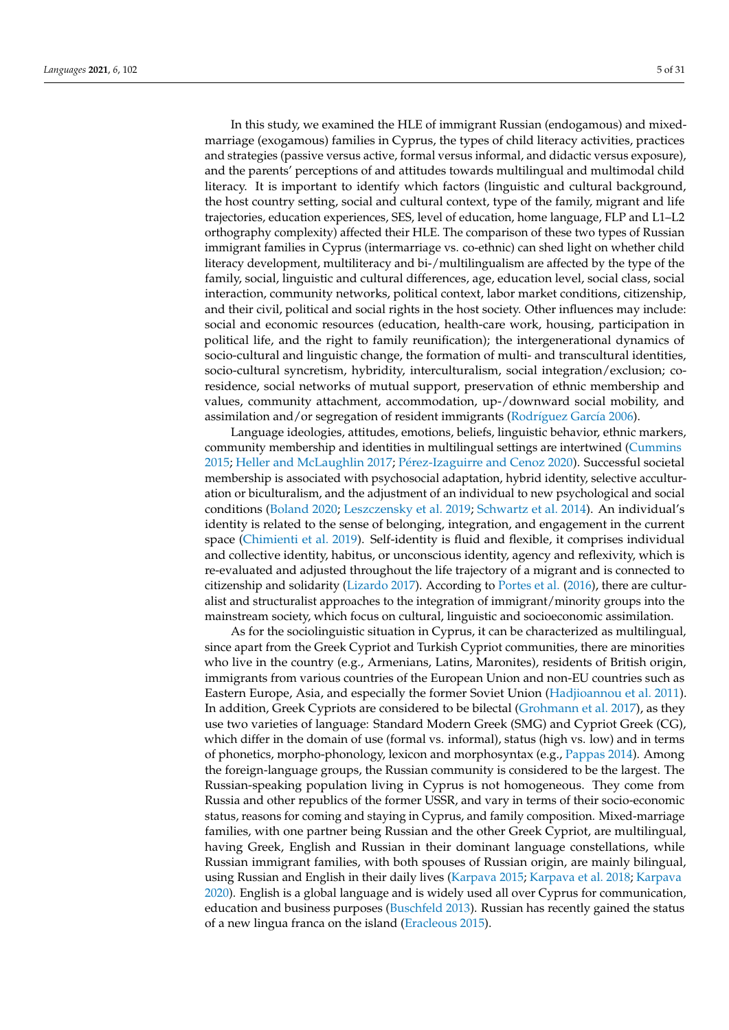In this study, we examined the HLE of immigrant Russian (endogamous) and mixedmarriage (exogamous) families in Cyprus, the types of child literacy activities, practices and strategies (passive versus active, formal versus informal, and didactic versus exposure), and the parents' perceptions of and attitudes towards multilingual and multimodal child literacy. It is important to identify which factors (linguistic and cultural background, the host country setting, social and cultural context, type of the family, migrant and life trajectories, education experiences, SES, level of education, home language, FLP and L1–L2 orthography complexity) affected their HLE. The comparison of these two types of Russian immigrant families in Cyprus (intermarriage vs. co-ethnic) can shed light on whether child literacy development, multiliteracy and bi-/multilingualism are affected by the type of the family, social, linguistic and cultural differences, age, education level, social class, social interaction, community networks, political context, labor market conditions, citizenship, and their civil, political and social rights in the host society. Other influences may include: social and economic resources (education, health-care work, housing, participation in political life, and the right to family reunification); the intergenerational dynamics of socio-cultural and linguistic change, the formation of multi- and transcultural identities, socio-cultural syncretism, hybridity, interculturalism, social integration/exclusion; coresidence, social networks of mutual support, preservation of ethnic membership and values, community attachment, accommodation, up-/downward social mobility, and assimilation and/or segregation of resident immigrants (Rodrí[guez Garc](#page-29-13)ía [2006\)](#page-29-13).

Language ideologies, attitudes, emotions, beliefs, linguistic behavior, ethnic markers, community membership and identities in multilingual settings are intertwined [\(Cummins](#page-26-18) [2015;](#page-26-18) [Heller and McLaughlin](#page-27-16) [2017;](#page-27-16) Pé[rez-Izaguirre and Cenoz](#page-29-14) [2020\)](#page-29-14). Successful societal membership is associated with psychosocial adaptation, hybrid identity, selective acculturation or biculturalism, and the adjustment of an individual to new psychological and social conditions [\(Boland](#page-25-14) [2020;](#page-25-14) [Leszczensky et al.](#page-28-22) [2019;](#page-28-22) [Schwartz et al.](#page-29-15) [2014\)](#page-29-15). An individual's identity is related to the sense of belonging, integration, and engagement in the current space [\(Chimienti et al.](#page-25-15) [2019\)](#page-25-15). Self-identity is fluid and flexible, it comprises individual and collective identity, habitus, or unconscious identity, agency and reflexivity, which is re-evaluated and adjusted throughout the life trajectory of a migrant and is connected to citizenship and solidarity [\(Lizardo](#page-28-23) [2017\)](#page-28-23). According to [Portes et al.](#page-29-16) [\(2016\)](#page-29-16), there are culturalist and structuralist approaches to the integration of immigrant/minority groups into the mainstream society, which focus on cultural, linguistic and socioeconomic assimilation.

As for the sociolinguistic situation in Cyprus, it can be characterized as multilingual, since apart from the Greek Cypriot and Turkish Cypriot communities, there are minorities who live in the country (e.g., Armenians, Latins, Maronites), residents of British origin, immigrants from various countries of the European Union and non-EU countries such as Eastern Europe, Asia, and especially the former Soviet Union [\(Hadjioannou et al.](#page-27-17) [2011\)](#page-27-17). In addition, Greek Cypriots are considered to be bilectal [\(Grohmann et al.](#page-27-18) [2017\)](#page-27-18), as they use two varieties of language: Standard Modern Greek (SMG) and Cypriot Greek (CG), which differ in the domain of use (formal vs. informal), status (high vs. low) and in terms of phonetics, morpho-phonology, lexicon and morphosyntax (e.g., [Pappas](#page-29-17) [2014\)](#page-29-17). Among the foreign-language groups, the Russian community is considered to be the largest. The Russian-speaking population living in Cyprus is not homogeneous. They come from Russia and other republics of the former USSR, and vary in terms of their socio-economic status, reasons for coming and staying in Cyprus, and family composition. Mixed-marriage families, with one partner being Russian and the other Greek Cypriot, are multilingual, having Greek, English and Russian in their dominant language constellations, while Russian immigrant families, with both spouses of Russian origin, are mainly bilingual, using Russian and English in their daily lives [\(Karpava](#page-27-19) [2015;](#page-27-19) [Karpava et al.](#page-27-20) [2018;](#page-27-20) [Karpava](#page-27-21) [2020\)](#page-27-21). English is a global language and is widely used all over Cyprus for communication, education and business purposes [\(Buschfeld](#page-25-16) [2013\)](#page-25-16). Russian has recently gained the status of a new lingua franca on the island [\(Eracleous](#page-26-19) [2015\)](#page-26-19).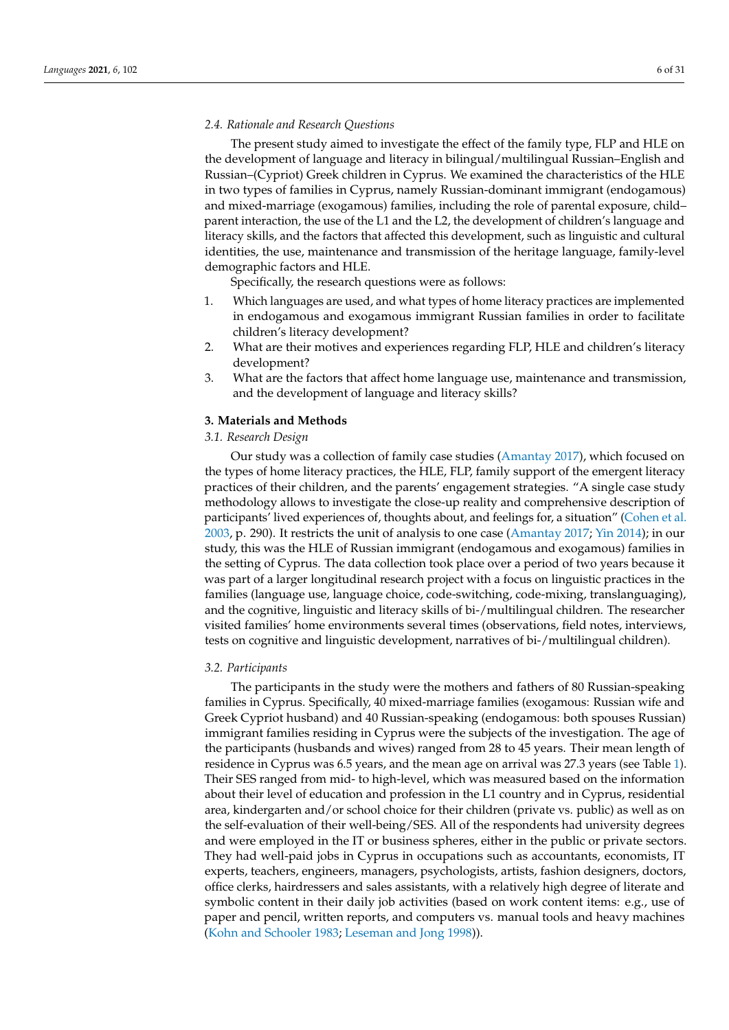#### *2.4. Rationale and Research Questions*

The present study aimed to investigate the effect of the family type, FLP and HLE on the development of language and literacy in bilingual/multilingual Russian–English and Russian–(Cypriot) Greek children in Cyprus. We examined the characteristics of the HLE in two types of families in Cyprus, namely Russian-dominant immigrant (endogamous) and mixed-marriage (exogamous) families, including the role of parental exposure, child– parent interaction, the use of the L1 and the L2, the development of children's language and literacy skills, and the factors that affected this development, such as linguistic and cultural identities, the use, maintenance and transmission of the heritage language, family-level demographic factors and HLE.

Specifically, the research questions were as follows:

- 1. Which languages are used, and what types of home literacy practices are implemented in endogamous and exogamous immigrant Russian families in order to facilitate children's literacy development?
- 2. What are their motives and experiences regarding FLP, HLE and children's literacy development?
- 3. What are the factors that affect home language use, maintenance and transmission, and the development of language and literacy skills?

## **3. Materials and Methods**

# *3.1. Research Design*

Our study was a collection of family case studies [\(Amantay](#page-24-2) [2017\)](#page-24-2), which focused on the types of home literacy practices, the HLE, FLP, family support of the emergent literacy practices of their children, and the parents' engagement strategies. "A single case study methodology allows to investigate the close-up reality and comprehensive description of participants' lived experiences of, thoughts about, and feelings for, a situation" [\(Cohen et al.](#page-25-17) [2003,](#page-25-17) p. 290). It restricts the unit of analysis to one case [\(Amantay](#page-24-2) [2017;](#page-24-2) [Yin](#page-30-19) [2014\)](#page-30-19); in our study, this was the HLE of Russian immigrant (endogamous and exogamous) families in the setting of Cyprus. The data collection took place over a period of two years because it was part of a larger longitudinal research project with a focus on linguistic practices in the families (language use, language choice, code-switching, code-mixing, translanguaging), and the cognitive, linguistic and literacy skills of bi-/multilingual children. The researcher visited families' home environments several times (observations, field notes, interviews, tests on cognitive and linguistic development, narratives of bi-/multilingual children).

#### *3.2. Participants*

The participants in the study were the mothers and fathers of 80 Russian-speaking families in Cyprus. Specifically, 40 mixed-marriage families (exogamous: Russian wife and Greek Cypriot husband) and 40 Russian-speaking (endogamous: both spouses Russian) immigrant families residing in Cyprus were the subjects of the investigation. The age of the participants (husbands and wives) ranged from 28 to 45 years. Their mean length of residence in Cyprus was 6.5 years, and the mean age on arrival was 27.3 years (see Table [1\)](#page-6-0). Their SES ranged from mid- to high-level, which was measured based on the information about their level of education and profession in the L1 country and in Cyprus, residential area, kindergarten and/or school choice for their children (private vs. public) as well as on the self-evaluation of their well-being/SES. All of the respondents had university degrees and were employed in the IT or business spheres, either in the public or private sectors. They had well-paid jobs in Cyprus in occupations such as accountants, economists, IT experts, teachers, engineers, managers, psychologists, artists, fashion designers, doctors, office clerks, hairdressers and sales assistants, with a relatively high degree of literate and symbolic content in their daily job activities (based on work content items: e.g., use of paper and pencil, written reports, and computers vs. manual tools and heavy machines [\(Kohn and Schooler](#page-28-24) [1983;](#page-28-24) [Leseman and Jong](#page-28-25) [1998\)](#page-28-25)).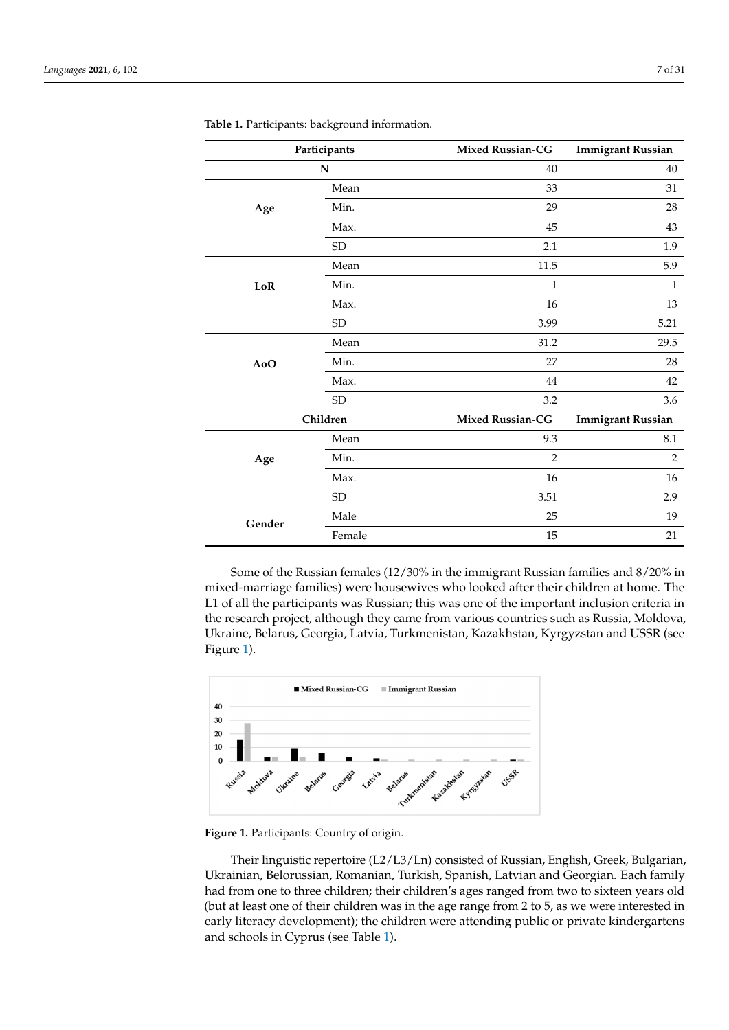| Participants |            | <b>Mixed Russian-CG</b> | <b>Immigrant Russian</b> |
|--------------|------------|-------------------------|--------------------------|
|              | N          |                         | 40                       |
|              | Mean       | 33                      | 31                       |
| Age          | Min.       | 29                      | 28                       |
|              | Max.       | 45                      | 43                       |
|              | ${\rm SD}$ | 2.1                     | 1.9                      |
|              | Mean       | 11.5                    | 5.9                      |
| $_{\rm LoR}$ | Min.       | $\mathbf{1}$            | $\mathbf{1}$             |
|              | Max.       | 16                      | 13                       |
|              | ${\rm SD}$ | 3.99                    | 5.21                     |
|              | Mean       | 31.2                    | 29.5                     |
| AoO          | Min.       | 27                      | 28                       |
|              | Max.       | 44                      | 42                       |
|              | <b>SD</b>  | 3.2                     | 3.6                      |
|              | Children   |                         | <b>Immigrant Russian</b> |
|              | Mean       | 9.3                     | 8.1                      |
| Age          | Min.       | $\overline{2}$          | $\overline{2}$           |
|              | Max.       | 16                      | 16                       |
|              | ${\rm SD}$ | 3.51                    | 2.9                      |
| Gender       | Male       | 25                      | 19                       |
|              | Female     | 15                      | 21                       |

<span id="page-6-0"></span>**Table 1.** Participants: background information.

Some of the Russian females (12/30% in the immigrant Russian families and 8/20% in mixed-marriage families) were housewives who looked after their children at home. The L1 of all the participants was Russian; this was one of the important inclusion criteria in the research project, although they came from various countries such as Russia, Moldova, Ukraine, Belarus, Georgia, Latvia, Turkmenistan, Kazakhstan, Kyrgyzstan and USSR (see *Languages* **2021**, *6*, x FOR PEER REVIEW 8 of 32 Figure [1\)](#page-6-1).

<span id="page-6-1"></span>

**Figure 1.** Participants: Country of origin. **Figure 1.** Participants: Country of origin.

Their linguistic repertoire (L2/L3/Ln) consisted of Russian, English, Greek, Bulgarian, , Their linguistic repertoire (L2/L3/Ln) consisted of Russian, English, Greek, Bulgarian<br>Ukrainian, Belorussian, Romanian, Turkish, Spanish, Latvian and Georgian. Each family had from one to three children; their children's ages ranged from two to sixteen years old had from one to three children; their children's ages ranged from two to sixteen years old (but at least one of their children was in the age range from 2 to 5, as we were interested (but at least one of their children was in the age range from 2 to 5, as we were interested in early literacy development); the children were attending public or private kindergartens<br>and schools in Cyprus (see Table 1). and schools in Cyprus (see Table 1).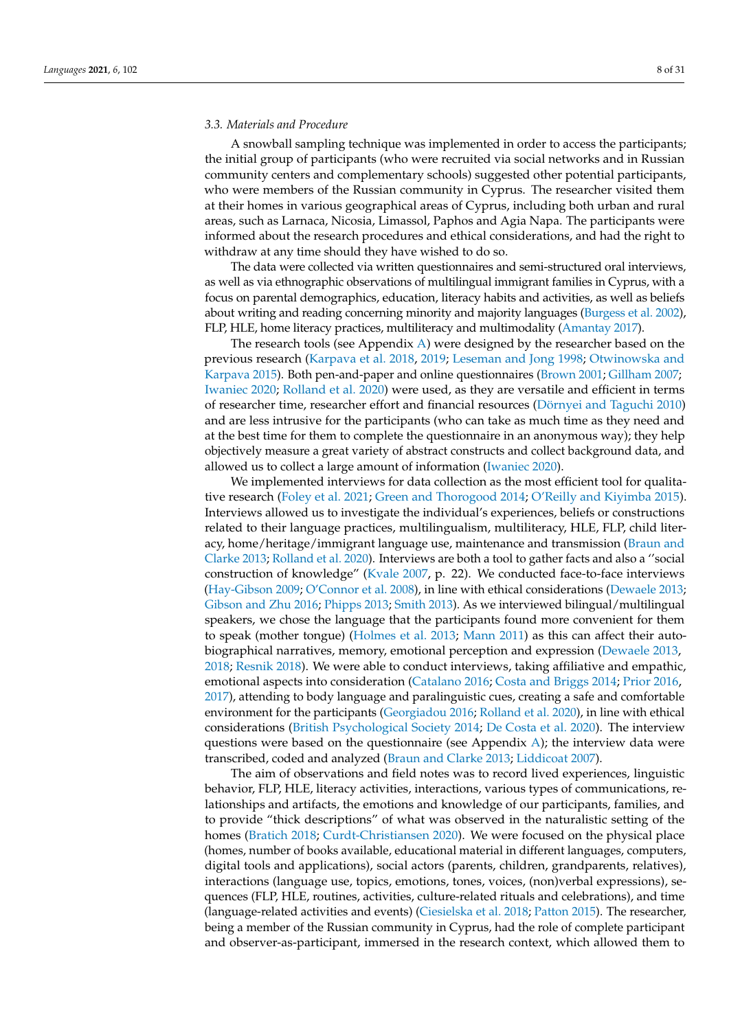### *3.3. Materials and Procedure*

A snowball sampling technique was implemented in order to access the participants; the initial group of participants (who were recruited via social networks and in Russian community centers and complementary schools) suggested other potential participants, who were members of the Russian community in Cyprus. The researcher visited them at their homes in various geographical areas of Cyprus, including both urban and rural areas, such as Larnaca, Nicosia, Limassol, Paphos and Agia Napa. The participants were informed about the research procedures and ethical considerations, and had the right to withdraw at any time should they have wished to do so.

The data were collected via written questionnaires and semi-structured oral interviews, as well as via ethnographic observations of multilingual immigrant families in Cyprus, with a focus on parental demographics, education, literacy habits and activities, as well as beliefs about writing and reading concerning minority and majority languages [\(Burgess et al.](#page-25-18) [2002\)](#page-25-18), FLP, HLE, home literacy practices, multiliteracy and multimodality [\(Amantay](#page-24-2) [2017\)](#page-24-2).

The research tools (see Appendix [A\)](#page-20-0) were designed by the researcher based on the previous research [\(Karpava et al.](#page-27-20) [2018,](#page-27-20) [2019;](#page-27-22) [Leseman and Jong](#page-28-25) [1998;](#page-28-25) [Otwinowska and](#page-29-18) [Karpava](#page-29-18) [2015\)](#page-29-18). Both pen-and-paper and online questionnaires [\(Brown](#page-25-19) [2001;](#page-25-19) [Gillham](#page-26-20) [2007;](#page-26-20) [Iwaniec](#page-27-23) [2020;](#page-27-23) [Rolland et al.](#page-29-19) [2020\)](#page-29-19) were used, as they are versatile and efficient in terms of researcher time, researcher effort and financial resources [\(Dörnyei and Taguchi](#page-26-21) [2010\)](#page-26-21) and are less intrusive for the participants (who can take as much time as they need and at the best time for them to complete the questionnaire in an anonymous way); they help objectively measure a great variety of abstract constructs and collect background data, and allowed us to collect a large amount of information [\(Iwaniec](#page-27-23) [2020\)](#page-27-23).

We implemented interviews for data collection as the most efficient tool for qualitative research [\(Foley et al.](#page-26-22) [2021;](#page-26-22) [Green and Thorogood](#page-26-23) [2014;](#page-26-23) [O'Reilly and Kiyimba](#page-29-20) [2015\)](#page-29-20). Interviews allowed us to investigate the individual's experiences, beliefs or constructions related to their language practices, multilingualism, multiliteracy, HLE, FLP, child literacy, home/heritage/immigrant language use, maintenance and transmission [\(Braun and](#page-25-20) [Clarke](#page-25-20) [2013;](#page-25-20) [Rolland et al.](#page-29-19) [2020\)](#page-29-19). Interviews are both a tool to gather facts and also a ''social construction of knowledge" [\(Kvale](#page-28-26) [2007,](#page-28-26) p. 22). We conducted face-to-face interviews [\(Hay-Gibson](#page-27-24) [2009;](#page-27-24) [O'Connor et al.](#page-28-27) [2008\)](#page-28-27), in line with ethical considerations [\(Dewaele](#page-26-24) [2013;](#page-26-24) [Gibson and Zhu](#page-26-25) [2016;](#page-26-25) [Phipps](#page-29-21) [2013;](#page-29-21) [Smith](#page-30-20) [2013\)](#page-30-20). As we interviewed bilingual/multilingual speakers, we chose the language that the participants found more convenient for them to speak (mother tongue) [\(Holmes et al.](#page-27-25) [2013;](#page-27-25) [Mann](#page-28-28) [2011\)](#page-28-28) as this can affect their autobiographical narratives, memory, emotional perception and expression [\(Dewaele](#page-26-24) [2013,](#page-26-24) [2018;](#page-26-26) [Resnik](#page-29-22) [2018\)](#page-29-22). We were able to conduct interviews, taking affiliative and empathic, emotional aspects into consideration [\(Catalano](#page-25-21) [2016;](#page-25-21) [Costa and Briggs](#page-25-22) [2014;](#page-25-22) [Prior](#page-29-23) [2016,](#page-29-23) [2017\)](#page-29-24), attending to body language and paralinguistic cues, creating a safe and comfortable environment for the participants [\(Georgiadou](#page-26-27) [2016;](#page-26-27) [Rolland et al.](#page-29-19) [2020\)](#page-29-19), in line with ethical considerations [\(British Psychological Society](#page-25-23) [2014;](#page-25-23) [De Costa et al.](#page-26-28) [2020\)](#page-26-28). The interview questions were based on the questionnaire (see Appendix [A\)](#page-20-0); the interview data were transcribed, coded and analyzed [\(Braun and Clarke](#page-25-20) [2013;](#page-25-20) [Liddicoat](#page-28-29) [2007\)](#page-28-29).

The aim of observations and field notes was to record lived experiences, linguistic behavior, FLP, HLE, literacy activities, interactions, various types of communications, relationships and artifacts, the emotions and knowledge of our participants, families, and to provide "thick descriptions" of what was observed in the naturalistic setting of the homes [\(Bratich](#page-25-24) [2018;](#page-25-24) [Curdt-Christiansen](#page-26-29) [2020\)](#page-26-29). We were focused on the physical place (homes, number of books available, educational material in different languages, computers, digital tools and applications), social actors (parents, children, grandparents, relatives), interactions (language use, topics, emotions, tones, voices, (non)verbal expressions), sequences (FLP, HLE, routines, activities, culture-related rituals and celebrations), and time (language-related activities and events) [\(Ciesielska et al.](#page-25-25) [2018;](#page-25-25) [Patton](#page-29-25) [2015\)](#page-29-25). The researcher, being a member of the Russian community in Cyprus, had the role of complete participant and observer-as-participant, immersed in the research context, which allowed them to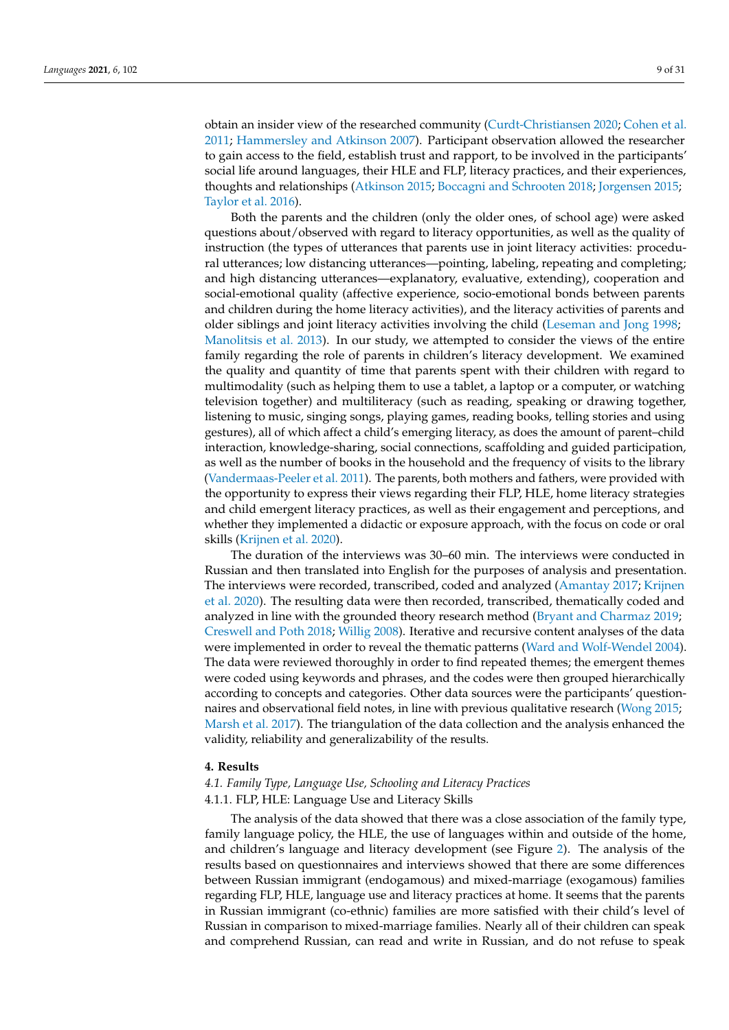obtain an insider view of the researched community [\(Curdt-Christiansen](#page-26-29) [2020;](#page-26-29) [Cohen et al.](#page-25-26) [2011;](#page-25-26) [Hammersley and Atkinson](#page-27-26) [2007\)](#page-27-26). Participant observation allowed the researcher to gain access to the field, establish trust and rapport, to be involved in the participants' social life around languages, their HLE and FLP, literacy practices, and their experiences, thoughts and relationships [\(Atkinson](#page-25-27) [2015;](#page-25-27) [Boccagni and Schrooten](#page-25-28) [2018;](#page-25-28) [Jorgensen](#page-27-27) [2015;](#page-27-27) [Taylor et al.](#page-30-21) [2016\)](#page-30-21).

Both the parents and the children (only the older ones, of school age) were asked questions about/observed with regard to literacy opportunities, as well as the quality of instruction (the types of utterances that parents use in joint literacy activities: procedural utterances; low distancing utterances—pointing, labeling, repeating and completing; and high distancing utterances—explanatory, evaluative, extending), cooperation and social-emotional quality (affective experience, socio-emotional bonds between parents and children during the home literacy activities), and the literacy activities of parents and older siblings and joint literacy activities involving the child [\(Leseman and Jong](#page-28-25) [1998;](#page-28-25) [Manolitsis et al.](#page-28-9) [2013\)](#page-28-9). In our study, we attempted to consider the views of the entire family regarding the role of parents in children's literacy development. We examined the quality and quantity of time that parents spent with their children with regard to multimodality (such as helping them to use a tablet, a laptop or a computer, or watching television together) and multiliteracy (such as reading, speaking or drawing together, listening to music, singing songs, playing games, reading books, telling stories and using gestures), all of which affect a child's emerging literacy, as does the amount of parent–child interaction, knowledge-sharing, social connections, scaffolding and guided participation, as well as the number of books in the household and the frequency of visits to the library [\(Vandermaas-Peeler et al.](#page-30-22) [2011\)](#page-30-22). The parents, both mothers and fathers, were provided with the opportunity to express their views regarding their FLP, HLE, home literacy strategies and child emergent literacy practices, as well as their engagement and perceptions, and whether they implemented a didactic or exposure approach, with the focus on code or oral skills [\(Krijnen et al.](#page-28-0) [2020\)](#page-28-0).

The duration of the interviews was 30–60 min. The interviews were conducted in Russian and then translated into English for the purposes of analysis and presentation. The interviews were recorded, transcribed, coded and analyzed [\(Amantay](#page-24-2) [2017;](#page-24-2) [Krijnen](#page-28-0) [et al.](#page-28-0) [2020\)](#page-28-0). The resulting data were then recorded, transcribed, thematically coded and analyzed in line with the grounded theory research method [\(Bryant and Charmaz](#page-25-29) [2019;](#page-25-29) [Creswell and Poth](#page-25-30) [2018;](#page-25-30) [Willig](#page-30-23) [2008\)](#page-30-23). Iterative and recursive content analyses of the data were implemented in order to reveal the thematic patterns [\(Ward and Wolf-Wendel](#page-30-24) [2004\)](#page-30-24). The data were reviewed thoroughly in order to find repeated themes; the emergent themes were coded using keywords and phrases, and the codes were then grouped hierarchically according to concepts and categories. Other data sources were the participants' questionnaires and observational field notes, in line with previous qualitative research [\(Wong](#page-30-3) [2015;](#page-30-3) [Marsh et al.](#page-28-1) [2017\)](#page-28-1). The triangulation of the data collection and the analysis enhanced the validity, reliability and generalizability of the results.

#### **4. Results**

# *4.1. Family Type, Language Use, Schooling and Literacy Practices* 4.1.1. FLP, HLE: Language Use and Literacy Skills

The analysis of the data showed that there was a close association of the family type, family language policy, the HLE, the use of languages within and outside of the home, and children's language and literacy development (see Figure [2\)](#page-9-0). The analysis of the results based on questionnaires and interviews showed that there are some differences between Russian immigrant (endogamous) and mixed-marriage (exogamous) families regarding FLP, HLE, language use and literacy practices at home. It seems that the parents in Russian immigrant (co-ethnic) families are more satisfied with their child's level of Russian in comparison to mixed-marriage families. Nearly all of their children can speak and comprehend Russian, can read and write in Russian, and do not refuse to speak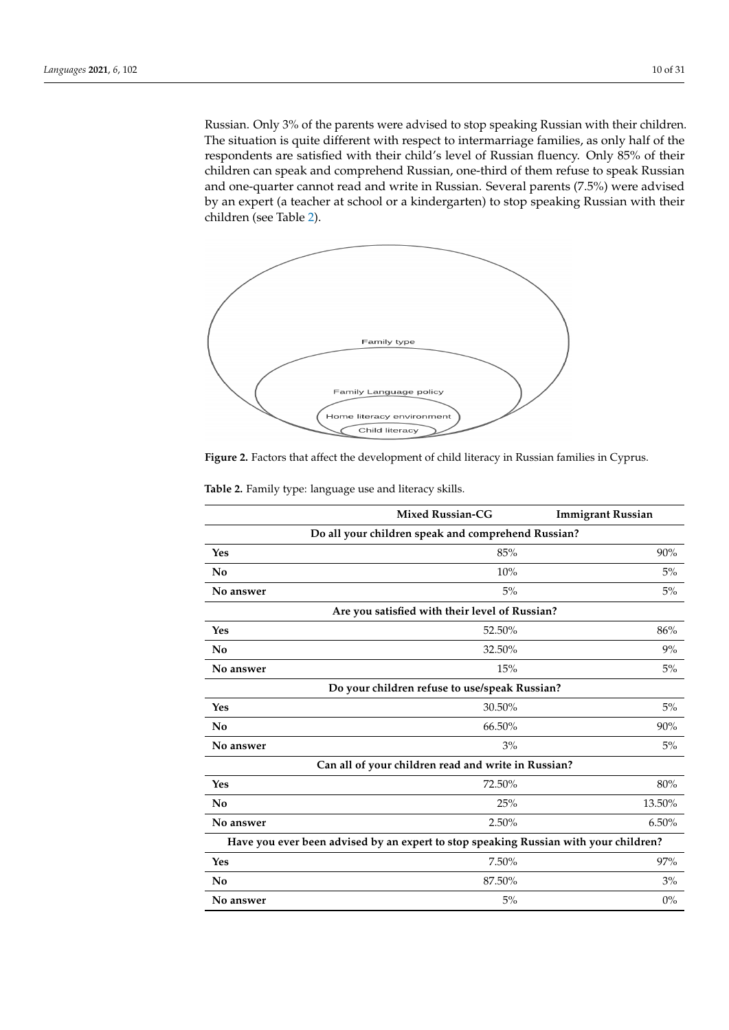Russian. Only 3% of the parents were advised to stop speaking Russian with their children. The situation is quite different with respect to intermarriage families, as only half of the respondents are satisfied with their child's level of Russian fluency. Only 85% of their children can speak and comprehend Russian, one-third of them refuse to speak Russian. and one-quarter cannot read and write in Russian. Several parents (7.5%) were advised<br>by an expert (a teacher at selection) to stop speaking Russian with Russian with the stop speaking and the sto by an expert (a teacher at school or a kindergarten) to stop speaking Russian with their children (see Table [2\)](#page-9-1). Russian. Only 3% of the parents were advised to stop speaking Russian with their kussian. Only 3% of the parents were advised to stop speaking kussian with their chil

Russian in comparison to mixed‐marriage families. Nearly all of their children can speak

<span id="page-9-0"></span>

**Figure 2.** Factors that affect the development of child literacy in Russian families in Cyprus.

|                                                                                      | <b>Mixed Russian-CG</b>                            | <b>Immigrant Russian</b> |
|--------------------------------------------------------------------------------------|----------------------------------------------------|--------------------------|
|                                                                                      | Do all your children speak and comprehend Russian? |                          |
| Yes                                                                                  | 85%                                                | 90%                      |
| No                                                                                   | 10%                                                | 5%                       |
| No answer                                                                            | 5%                                                 | 5%                       |
|                                                                                      | Are you satisfied with their level of Russian?     |                          |
| Yes                                                                                  | 52.50%                                             | 86%                      |
| No                                                                                   | 32.50%                                             | 9%                       |
| No answer                                                                            | 15%                                                | 5%                       |
| Do your children refuse to use/speak Russian?                                        |                                                    |                          |
| Yes                                                                                  | 30.50%                                             | 5%                       |
| No                                                                                   | 66.50%                                             | 90%                      |
| No answer                                                                            | 3%                                                 | 5%                       |
| Can all of your children read and write in Russian?                                  |                                                    |                          |
| Yes                                                                                  | 72.50%                                             | 80%                      |
| No                                                                                   | 25%                                                | 13.50%                   |
| No answer                                                                            | 2.50%                                              | 6.50%                    |
| Have you ever been advised by an expert to stop speaking Russian with your children? |                                                    |                          |
| Yes                                                                                  | 7.50%                                              | 97%                      |
| No                                                                                   | 87.50%                                             | 3%                       |
| No answer                                                                            | 5%                                                 | $0\%$                    |

<span id="page-9-1"></span>**Table 2.** Family type: language use and literacy skills.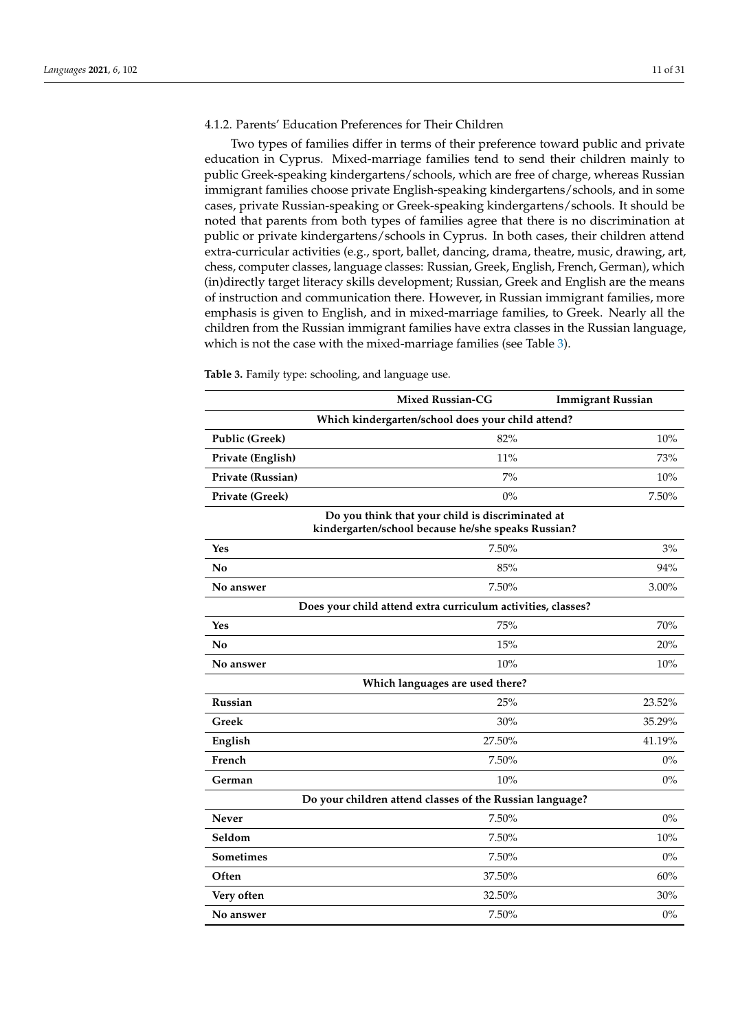# 4.1.2. Parents' Education Preferences for Their Children

Two types of families differ in terms of their preference toward public and private education in Cyprus. Mixed-marriage families tend to send their children mainly to public Greek-speaking kindergartens/schools, which are free of charge, whereas Russian immigrant families choose private English-speaking kindergartens/schools, and in some cases, private Russian-speaking or Greek-speaking kindergartens/schools. It should be noted that parents from both types of families agree that there is no discrimination at public or private kindergartens/schools in Cyprus. In both cases, their children attend extra-curricular activities (e.g., sport, ballet, dancing, drama, theatre, music, drawing, art, chess, computer classes, language classes: Russian, Greek, English, French, German), which (in)directly target literacy skills development; Russian, Greek and English are the means of instruction and communication there. However, in Russian immigrant families, more emphasis is given to English, and in mixed-marriage families, to Greek. Nearly all the children from the Russian immigrant families have extra classes in the Russian language, which is not the case with the mixed-marriage families (see Table [3\)](#page-10-0).

|                                                                                                        | <b>Mixed Russian-CG</b>                                      | <b>Immigrant Russian</b> |  |
|--------------------------------------------------------------------------------------------------------|--------------------------------------------------------------|--------------------------|--|
|                                                                                                        | Which kindergarten/school does your child attend?            |                          |  |
| Public (Greek)                                                                                         | 82%                                                          | 10%                      |  |
| Private (English)                                                                                      | 11%                                                          | 73%                      |  |
| Private (Russian)                                                                                      | 7%                                                           | 10%                      |  |
| Private (Greek)                                                                                        | $0\%$                                                        | 7.50%                    |  |
| Do you think that your child is discriminated at<br>kindergarten/school because he/she speaks Russian? |                                                              |                          |  |
| Yes                                                                                                    | 7.50%                                                        | 3%                       |  |
| No                                                                                                     | 85%                                                          | 94%                      |  |
| No answer                                                                                              | 7.50%                                                        | 3.00%                    |  |
|                                                                                                        | Does your child attend extra curriculum activities, classes? |                          |  |
| Yes                                                                                                    | 75%                                                          | 70%                      |  |
| No                                                                                                     | 15%                                                          | 20%                      |  |
| No answer                                                                                              | 10%                                                          | 10%                      |  |
|                                                                                                        | Which languages are used there?                              |                          |  |
| <b>Russian</b>                                                                                         | 25%                                                          | 23.52%                   |  |
| Greek                                                                                                  | 30%                                                          | 35.29%                   |  |
| English                                                                                                | 27.50%                                                       | 41.19%                   |  |
| French                                                                                                 | 7.50%                                                        | $0\%$                    |  |
| German                                                                                                 | 10%                                                          | $0\%$                    |  |
| Do your children attend classes of the Russian language?                                               |                                                              |                          |  |
| <b>Never</b>                                                                                           | 7.50%                                                        | $0\%$                    |  |
| Seldom                                                                                                 | 7.50%                                                        | 10%                      |  |
| <b>Sometimes</b>                                                                                       | 7.50%                                                        | $0\%$                    |  |
| Often                                                                                                  | 37.50%                                                       | 60%                      |  |
| Very often                                                                                             | 32.50%                                                       | 30%                      |  |
| No answer                                                                                              | 7.50%                                                        | $0\%$                    |  |

<span id="page-10-0"></span>**Table 3.** Family type: schooling, and language use.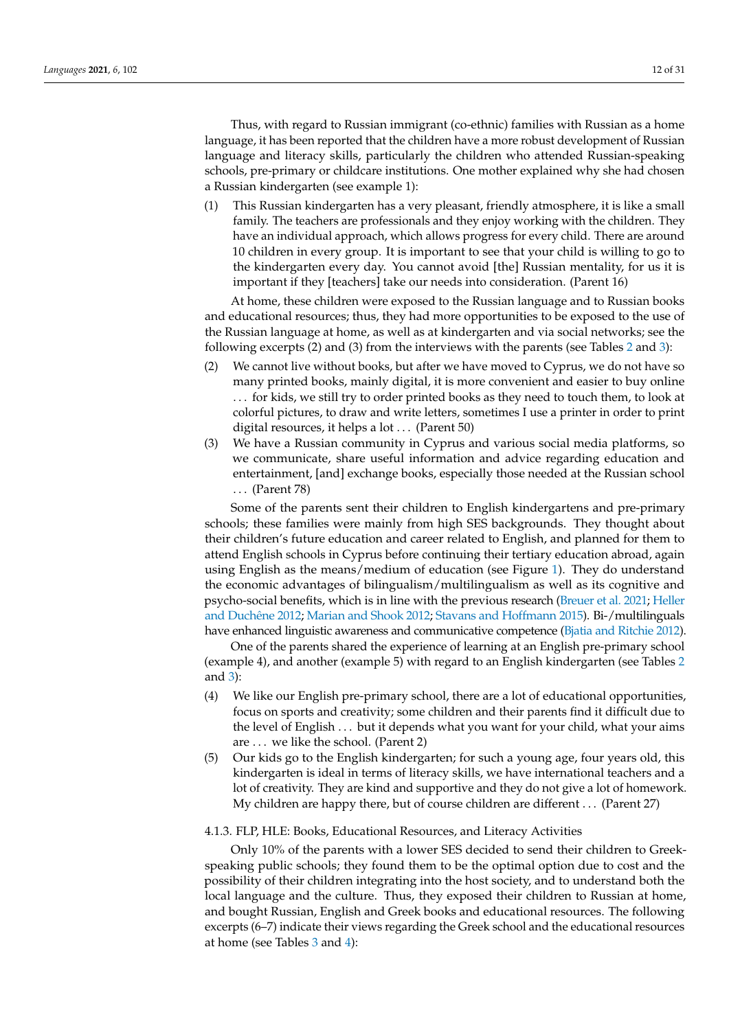Thus, with regard to Russian immigrant (co-ethnic) families with Russian as a home language, it has been reported that the children have a more robust development of Russian language and literacy skills, particularly the children who attended Russian-speaking schools, pre-primary or childcare institutions. One mother explained why she had chosen a Russian kindergarten (see example 1):

(1) This Russian kindergarten has a very pleasant, friendly atmosphere, it is like a small family. The teachers are professionals and they enjoy working with the children. They have an individual approach, which allows progress for every child. There are around 10 children in every group. It is important to see that your child is willing to go to the kindergarten every day. You cannot avoid [the] Russian mentality, for us it is important if they [teachers] take our needs into consideration. (Parent 16)

At home, these children were exposed to the Russian language and to Russian books and educational resources; thus, they had more opportunities to be exposed to the use of the Russian language at home, as well as at kindergarten and via social networks; see the following excerpts (2) and (3) from the interviews with the parents (see Tables [2](#page-9-1) and [3\)](#page-10-0):

- (2) We cannot live without books, but after we have moved to Cyprus, we do not have so many printed books, mainly digital, it is more convenient and easier to buy online . . . for kids, we still try to order printed books as they need to touch them, to look at colorful pictures, to draw and write letters, sometimes I use a printer in order to print digital resources, it helps a lot . . . (Parent 50)
- (3) We have a Russian community in Cyprus and various social media platforms, so we communicate, share useful information and advice regarding education and entertainment, [and] exchange books, especially those needed at the Russian school . . . (Parent 78)

Some of the parents sent their children to English kindergartens and pre-primary schools; these families were mainly from high SES backgrounds. They thought about their children's future education and career related to English, and planned for them to attend English schools in Cyprus before continuing their tertiary education abroad, again using English as the means/medium of education (see Figure [1\)](#page-6-1). They do understand the economic advantages of bilingualism/multilingualism as well as its cognitive and psycho-social benefits, which is in line with the previous research [\(Breuer et al.](#page-25-1) [2021;](#page-25-1) [Heller](#page-27-28) [and Duch](#page-27-28)êne [2012;](#page-27-28) [Marian and Shook](#page-28-30) [2012;](#page-28-30) [Stavans and Hoffmann](#page-30-4) [2015\)](#page-30-4). Bi-/multilinguals have enhanced linguistic awareness and communicative competence [\(Bjatia and Ritchie](#page-25-31) [2012\)](#page-25-31).

One of the parents shared the experience of learning at an English pre-primary school (example 4), and another (example 5) with regard to an English kindergarten (see Tables [2](#page-9-1) and [3\)](#page-10-0):

- (4) We like our English pre-primary school, there are a lot of educational opportunities, focus on sports and creativity; some children and their parents find it difficult due to the level of English . . . but it depends what you want for your child, what your aims are . . . we like the school. (Parent 2)
- (5) Our kids go to the English kindergarten; for such a young age, four years old, this kindergarten is ideal in terms of literacy skills, we have international teachers and a lot of creativity. They are kind and supportive and they do not give a lot of homework. My children are happy there, but of course children are different . . . (Parent 27)

## 4.1.3. FLP, HLE: Books, Educational Resources, and Literacy Activities

Only 10% of the parents with a lower SES decided to send their children to Greekspeaking public schools; they found them to be the optimal option due to cost and the possibility of their children integrating into the host society, and to understand both the local language and the culture. Thus, they exposed their children to Russian at home, and bought Russian, English and Greek books and educational resources. The following excerpts (6–7) indicate their views regarding the Greek school and the educational resources at home (see Tables [3](#page-10-0) and [4\)](#page-12-0):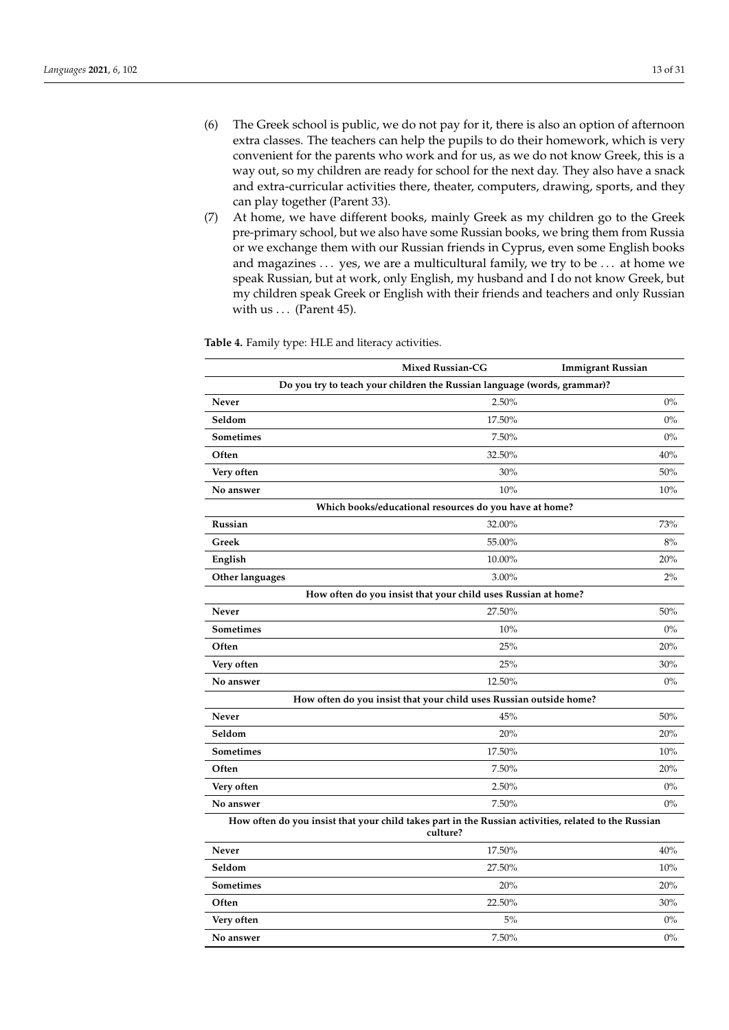- (6) The Greek school is public, we do not pay for it, there is also an option of afternoon extra classes. The teachers can help the pupils to do their homework, which is very convenient for the parents who work and for us, as we do not know Greek, this is a way out, so my children are ready for school for the next day. They also have a snack and extra-curricular activities there, theater, computers, drawing, sports, and they can play together (Parent 33).
- (7) At home, we have different books, mainly Greek as my children go to the Greek pre-primary school, but we also have some Russian books, we bring them from Russia or we exchange them with our Russian friends in Cyprus, even some English books and magazines . . . yes, we are a multicultural family, we try to be . . . at home we speak Russian, but at work, only English, my husband and I do not know Greek, but my children speak Greek or English with their friends and teachers and only Russian with us  $\ldots$  (Parent 45).

|                                                                                                                  | <b>Mixed Russian-CG</b>                                | <b>Immigrant Russian</b> |  |
|------------------------------------------------------------------------------------------------------------------|--------------------------------------------------------|--------------------------|--|
| Do you try to teach your children the Russian language (words, grammar)?                                         |                                                        |                          |  |
| Never                                                                                                            | 2.50%                                                  | $0\%$                    |  |
| Seldom                                                                                                           | 17.50%                                                 | $0\%$                    |  |
| <b>Sometimes</b>                                                                                                 | 7.50%                                                  | $0\%$                    |  |
| Often                                                                                                            | 32.50%                                                 | 40%                      |  |
| Very often                                                                                                       | 30%                                                    | 50%                      |  |
| No answer                                                                                                        | 10%                                                    | 10%                      |  |
|                                                                                                                  | Which books/educational resources do you have at home? |                          |  |
| Russian                                                                                                          | 32.00%                                                 | 73%                      |  |
| Greek                                                                                                            | 55.00%                                                 | 8%                       |  |
| English                                                                                                          | 10.00%                                                 | 20%                      |  |
| Other languages                                                                                                  | 3.00%                                                  | 2%                       |  |
| How often do you insist that your child uses Russian at home?                                                    |                                                        |                          |  |
| Never                                                                                                            | 27.50%                                                 | 50%                      |  |
| <b>Sometimes</b>                                                                                                 | 10%                                                    | $0\%$                    |  |
| Often                                                                                                            | 25%                                                    | 20%                      |  |
| Very often                                                                                                       | 25%                                                    | 30%                      |  |
| No answer                                                                                                        | 12.50%                                                 | $0\%$                    |  |
| How often do you insist that your child uses Russian outside home?                                               |                                                        |                          |  |
| Never                                                                                                            | 45%                                                    | 50%                      |  |
| Seldom                                                                                                           | 20%                                                    | 20%                      |  |
| <b>Sometimes</b>                                                                                                 | 17.50%                                                 | 10%                      |  |
| Often                                                                                                            | 7.50%                                                  | 20%                      |  |
| Very often                                                                                                       | 2.50%                                                  | $0\%$                    |  |
| No answer                                                                                                        | 7.50%                                                  | $0\%$                    |  |
| How often do you insist that your child takes part in the Russian activities, related to the Russian<br>culture? |                                                        |                          |  |

<span id="page-12-0"></span>**Table 4.** Family type: HLE and literacy activities.

| Never            | 17.50% | 40%   |
|------------------|--------|-------|
| Seldom           | 27.50% | 10%   |
| <b>Sometimes</b> | 20%    | 20%   |
| Often            | 22.50% | 30%   |
| Very often       | 5%     | $0\%$ |
| No answer        | 7.50%  | $0\%$ |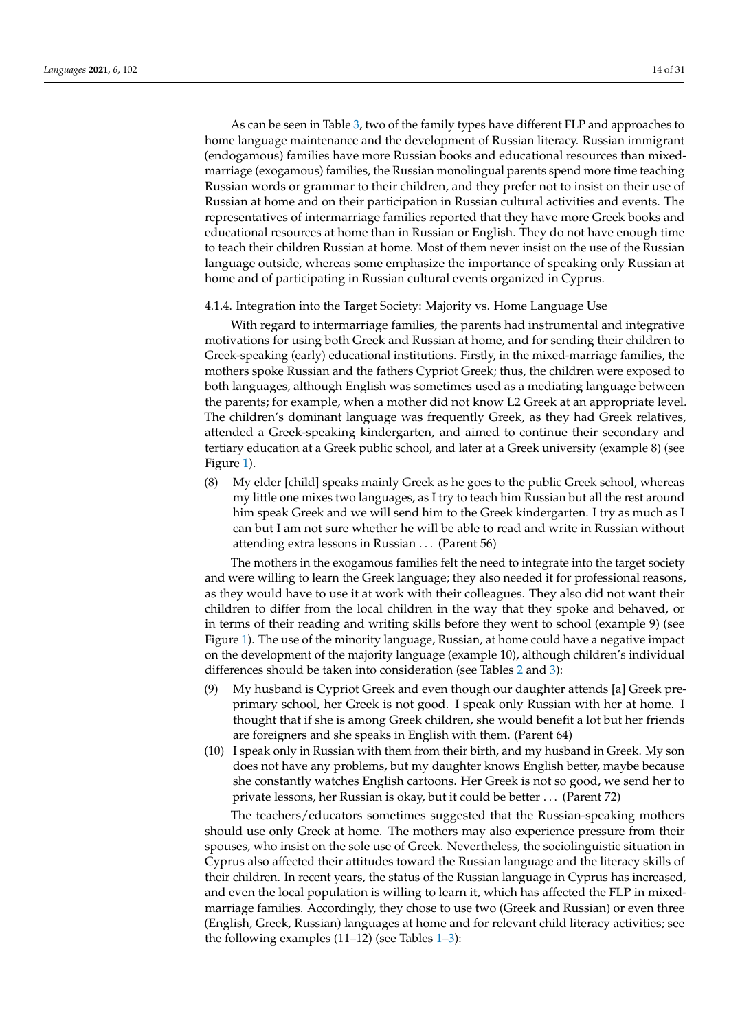As can be seen in Table [3,](#page-10-0) two of the family types have different FLP and approaches to home language maintenance and the development of Russian literacy. Russian immigrant (endogamous) families have more Russian books and educational resources than mixedmarriage (exogamous) families, the Russian monolingual parents spend more time teaching Russian words or grammar to their children, and they prefer not to insist on their use of Russian at home and on their participation in Russian cultural activities and events. The representatives of intermarriage families reported that they have more Greek books and educational resources at home than in Russian or English. They do not have enough time to teach their children Russian at home. Most of them never insist on the use of the Russian language outside, whereas some emphasize the importance of speaking only Russian at home and of participating in Russian cultural events organized in Cyprus.

# 4.1.4. Integration into the Target Society: Majority vs. Home Language Use

With regard to intermarriage families, the parents had instrumental and integrative motivations for using both Greek and Russian at home, and for sending their children to Greek-speaking (early) educational institutions. Firstly, in the mixed-marriage families, the mothers spoke Russian and the fathers Cypriot Greek; thus, the children were exposed to both languages, although English was sometimes used as a mediating language between the parents; for example, when a mother did not know L2 Greek at an appropriate level. The children's dominant language was frequently Greek, as they had Greek relatives, attended a Greek-speaking kindergarten, and aimed to continue their secondary and tertiary education at a Greek public school, and later at a Greek university (example 8) (see Figure [1\)](#page-6-1).

(8) My elder [child] speaks mainly Greek as he goes to the public Greek school, whereas my little one mixes two languages, as I try to teach him Russian but all the rest around him speak Greek and we will send him to the Greek kindergarten. I try as much as I can but I am not sure whether he will be able to read and write in Russian without attending extra lessons in Russian . . . (Parent 56)

The mothers in the exogamous families felt the need to integrate into the target society and were willing to learn the Greek language; they also needed it for professional reasons, as they would have to use it at work with their colleagues. They also did not want their children to differ from the local children in the way that they spoke and behaved, or in terms of their reading and writing skills before they went to school (example 9) (see Figure [1\)](#page-6-1). The use of the minority language, Russian, at home could have a negative impact on the development of the majority language (example 10), although children's individual differences should be taken into consideration (see Tables [2](#page-9-1) and [3\)](#page-10-0):

- (9) My husband is Cypriot Greek and even though our daughter attends [a] Greek preprimary school, her Greek is not good. I speak only Russian with her at home. I thought that if she is among Greek children, she would benefit a lot but her friends are foreigners and she speaks in English with them. (Parent 64)
- (10) I speak only in Russian with them from their birth, and my husband in Greek. My son does not have any problems, but my daughter knows English better, maybe because she constantly watches English cartoons. Her Greek is not so good, we send her to private lessons, her Russian is okay, but it could be better . . . (Parent 72)

The teachers/educators sometimes suggested that the Russian-speaking mothers should use only Greek at home. The mothers may also experience pressure from their spouses, who insist on the sole use of Greek. Nevertheless, the sociolinguistic situation in Cyprus also affected their attitudes toward the Russian language and the literacy skills of their children. In recent years, the status of the Russian language in Cyprus has increased, and even the local population is willing to learn it, which has affected the FLP in mixedmarriage families. Accordingly, they chose to use two (Greek and Russian) or even three (English, Greek, Russian) languages at home and for relevant child literacy activities; see the following examples  $(11–12)$  $(11–12)$  $(11–12)$  (see Tables 1[–3\)](#page-10-0):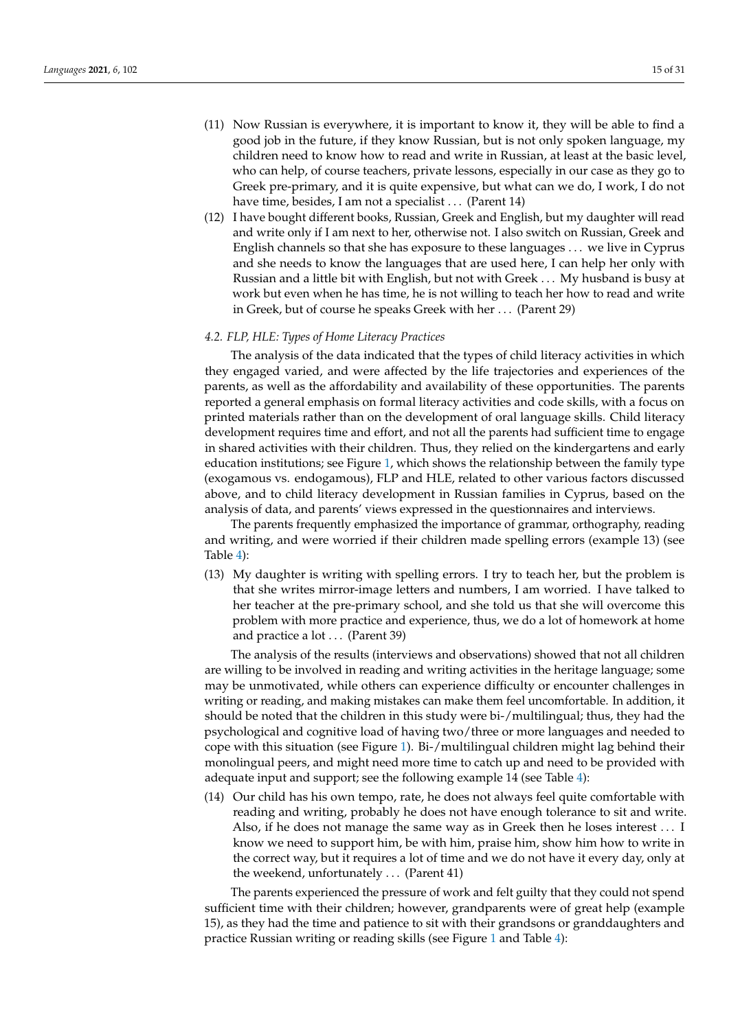- (11) Now Russian is everywhere, it is important to know it, they will be able to find a good job in the future, if they know Russian, but is not only spoken language, my children need to know how to read and write in Russian, at least at the basic level, who can help, of course teachers, private lessons, especially in our case as they go to Greek pre-primary, and it is quite expensive, but what can we do, I work, I do not have time, besides, I am not a specialist . . . (Parent 14)
- (12) I have bought different books, Russian, Greek and English, but my daughter will read and write only if I am next to her, otherwise not. I also switch on Russian, Greek and English channels so that she has exposure to these languages . . . we live in Cyprus and she needs to know the languages that are used here, I can help her only with Russian and a little bit with English, but not with Greek . . . My husband is busy at work but even when he has time, he is not willing to teach her how to read and write in Greek, but of course he speaks Greek with her . . . (Parent 29)

# *4.2. FLP, HLE: Types of Home Literacy Practices*

The analysis of the data indicated that the types of child literacy activities in which they engaged varied, and were affected by the life trajectories and experiences of the parents, as well as the affordability and availability of these opportunities. The parents reported a general emphasis on formal literacy activities and code skills, with a focus on printed materials rather than on the development of oral language skills. Child literacy development requires time and effort, and not all the parents had sufficient time to engage in shared activities with their children. Thus, they relied on the kindergartens and early education institutions; see Figure [1,](#page-6-1) which shows the relationship between the family type (exogamous vs. endogamous), FLP and HLE, related to other various factors discussed above, and to child literacy development in Russian families in Cyprus, based on the analysis of data, and parents' views expressed in the questionnaires and interviews.

The parents frequently emphasized the importance of grammar, orthography, reading and writing, and were worried if their children made spelling errors (example 13) (see Table [4\)](#page-12-0):

(13) My daughter is writing with spelling errors. I try to teach her, but the problem is that she writes mirror-image letters and numbers, I am worried. I have talked to her teacher at the pre-primary school, and she told us that she will overcome this problem with more practice and experience, thus, we do a lot of homework at home and practice a lot . . . (Parent 39)

The analysis of the results (interviews and observations) showed that not all children are willing to be involved in reading and writing activities in the heritage language; some may be unmotivated, while others can experience difficulty or encounter challenges in writing or reading, and making mistakes can make them feel uncomfortable. In addition, it should be noted that the children in this study were bi-/multilingual; thus, they had the psychological and cognitive load of having two/three or more languages and needed to cope with this situation (see Figure [1\)](#page-6-1). Bi-/multilingual children might lag behind their monolingual peers, and might need more time to catch up and need to be provided with adequate input and support; see the following example 14 (see Table [4\)](#page-12-0):

(14) Our child has his own tempo, rate, he does not always feel quite comfortable with reading and writing, probably he does not have enough tolerance to sit and write. Also, if he does not manage the same way as in Greek then he loses interest . . . I know we need to support him, be with him, praise him, show him how to write in the correct way, but it requires a lot of time and we do not have it every day, only at the weekend, unfortunately . . . (Parent 41)

The parents experienced the pressure of work and felt guilty that they could not spend sufficient time with their children; however, grandparents were of great help (example 15), as they had the time and patience to sit with their grandsons or granddaughters and practice Russian writing or reading skills (see Figure [1](#page-6-1) and Table [4\)](#page-12-0):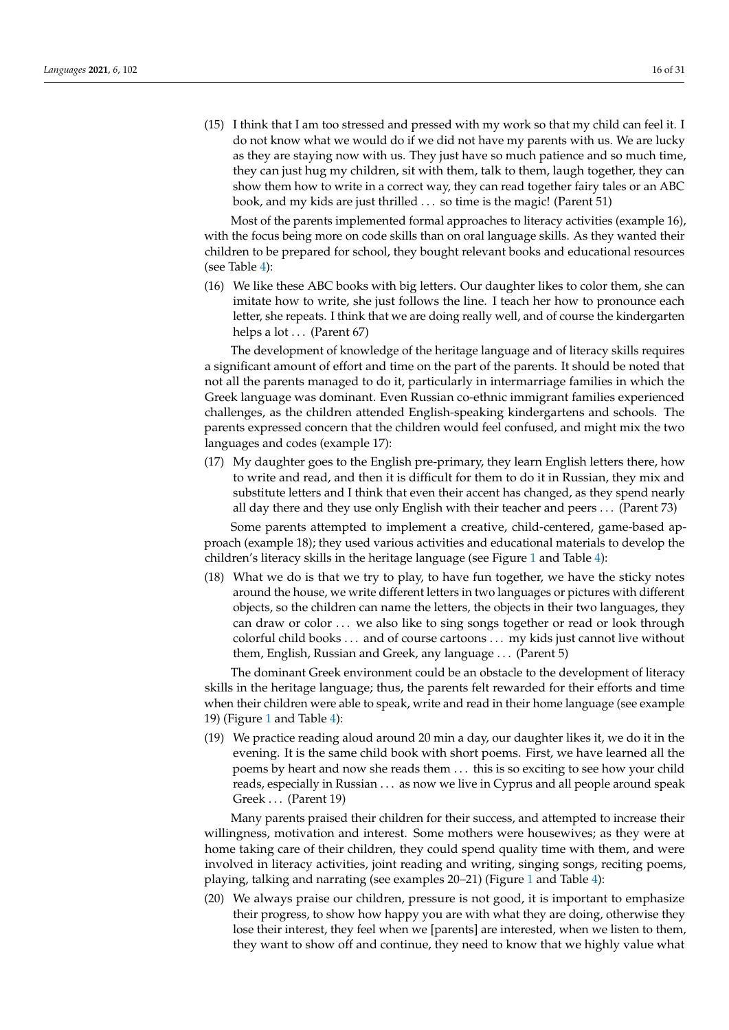(15) I think that I am too stressed and pressed with my work so that my child can feel it. I do not know what we would do if we did not have my parents with us. We are lucky as they are staying now with us. They just have so much patience and so much time, they can just hug my children, sit with them, talk to them, laugh together, they can show them how to write in a correct way, they can read together fairy tales or an ABC book, and my kids are just thrilled . . . so time is the magic! (Parent 51)

Most of the parents implemented formal approaches to literacy activities (example 16), with the focus being more on code skills than on oral language skills. As they wanted their children to be prepared for school, they bought relevant books and educational resources (see Table [4\)](#page-12-0):

(16) We like these ABC books with big letters. Our daughter likes to color them, she can imitate how to write, she just follows the line. I teach her how to pronounce each letter, she repeats. I think that we are doing really well, and of course the kindergarten helps a lot . . . (Parent 67)

The development of knowledge of the heritage language and of literacy skills requires a significant amount of effort and time on the part of the parents. It should be noted that not all the parents managed to do it, particularly in intermarriage families in which the Greek language was dominant. Even Russian co-ethnic immigrant families experienced challenges, as the children attended English-speaking kindergartens and schools. The parents expressed concern that the children would feel confused, and might mix the two languages and codes (example 17):

(17) My daughter goes to the English pre-primary, they learn English letters there, how to write and read, and then it is difficult for them to do it in Russian, they mix and substitute letters and I think that even their accent has changed, as they spend nearly all day there and they use only English with their teacher and peers . . . (Parent 73)

Some parents attempted to implement a creative, child-centered, game-based approach (example 18); they used various activities and educational materials to develop the children's literacy skills in the heritage language (see Figure [1](#page-6-1) and Table [4\)](#page-12-0):

(18) What we do is that we try to play, to have fun together, we have the sticky notes around the house, we write different letters in two languages or pictures with different objects, so the children can name the letters, the objects in their two languages, they can draw or color ... we also like to sing songs together or read or look through colorful child books . . . and of course cartoons . . . my kids just cannot live without them, English, Russian and Greek, any language . . . (Parent 5)

The dominant Greek environment could be an obstacle to the development of literacy skills in the heritage language; thus, the parents felt rewarded for their efforts and time when their children were able to speak, write and read in their home language (see example 19) (Figure [1](#page-6-1) and Table [4\)](#page-12-0):

(19) We practice reading aloud around 20 min a day, our daughter likes it, we do it in the evening. It is the same child book with short poems. First, we have learned all the poems by heart and now she reads them . . . this is so exciting to see how your child reads, especially in Russian . . . as now we live in Cyprus and all people around speak Greek ... (Parent 19)

Many parents praised their children for their success, and attempted to increase their willingness, motivation and interest. Some mothers were housewives; as they were at home taking care of their children, they could spend quality time with them, and were involved in literacy activities, joint reading and writing, singing songs, reciting poems, playing, talking and narrating (see examples 20–21) (Figure [1](#page-6-1) and Table [4\)](#page-12-0):

(20) We always praise our children, pressure is not good, it is important to emphasize their progress, to show how happy you are with what they are doing, otherwise they lose their interest, they feel when we [parents] are interested, when we listen to them, they want to show off and continue, they need to know that we highly value what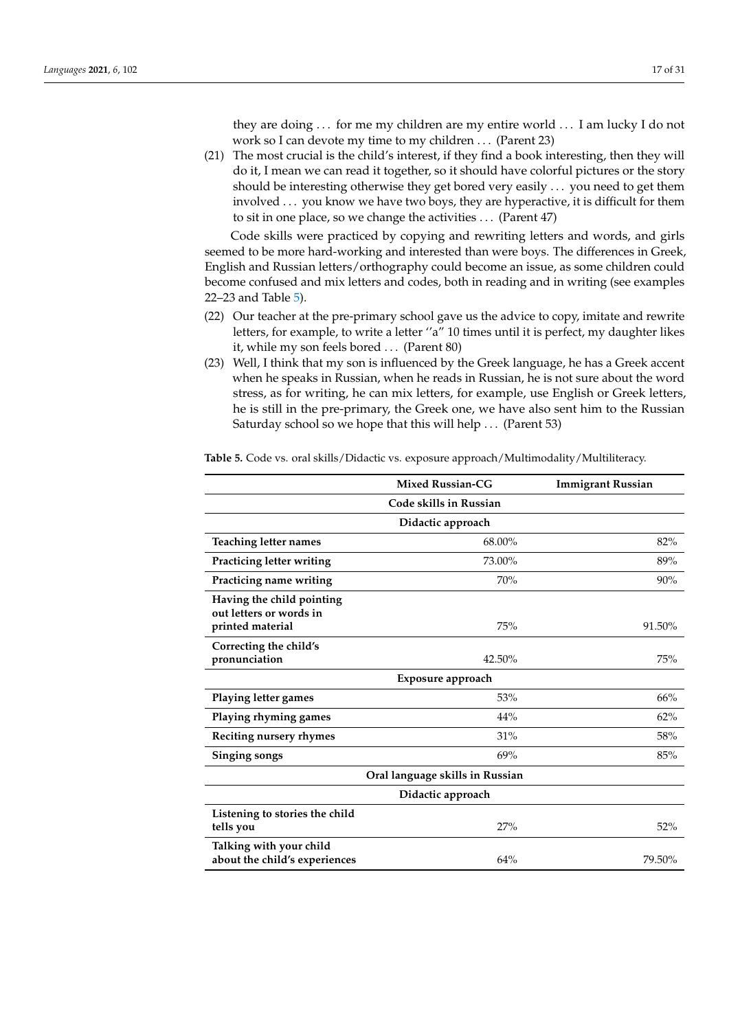they are doing . . . for me my children are my entire world . . . I am lucky I do not work so I can devote my time to my children . . . (Parent 23)

(21) The most crucial is the child's interest, if they find a book interesting, then they will do it, I mean we can read it together, so it should have colorful pictures or the story should be interesting otherwise they get bored very easily . . . you need to get them involved . . . you know we have two boys, they are hyperactive, it is difficult for them to sit in one place, so we change the activities . . . (Parent 47)

Code skills were practiced by copying and rewriting letters and words, and girls seemed to be more hard-working and interested than were boys. The differences in Greek, English and Russian letters/orthography could become an issue, as some children could become confused and mix letters and codes, both in reading and in writing (see examples 22–23 and Table [5\)](#page-17-0).

- (22) Our teacher at the pre-primary school gave us the advice to copy, imitate and rewrite letters, for example, to write a letter "a" 10 times until it is perfect, my daughter likes it, while my son feels bored . . . (Parent 80)
- (23) Well, I think that my son is influenced by the Greek language, he has a Greek accent when he speaks in Russian, when he reads in Russian, he is not sure about the word stress, as for writing, he can mix letters, for example, use English or Greek letters, he is still in the pre-primary, the Greek one, we have also sent him to the Russian Saturday school so we hope that this will help . . . (Parent 53)

|                                                          | <b>Mixed Russian-CG</b> | <b>Immigrant Russian</b> |  |
|----------------------------------------------------------|-------------------------|--------------------------|--|
|                                                          | Code skills in Russian  |                          |  |
|                                                          | Didactic approach       |                          |  |
| <b>Teaching letter names</b>                             | 68.00%                  | 82%                      |  |
| Practicing letter writing                                | 73.00%                  | 89%                      |  |
| Practicing name writing                                  | 70%                     | 90%                      |  |
| Having the child pointing<br>out letters or words in     |                         |                          |  |
| printed material                                         | 75%                     | 91.50%                   |  |
| Correcting the child's<br>pronunciation                  | 42.50%                  | 75%                      |  |
| Exposure approach                                        |                         |                          |  |
| Playing letter games                                     | 53%                     | 66%                      |  |
| Playing rhyming games                                    | 44%                     | 62%                      |  |
| Reciting nursery rhymes                                  | 31%                     | 58%                      |  |
| Singing songs                                            | 69%                     | 85%                      |  |
| Oral language skills in Russian                          |                         |                          |  |
| Didactic approach                                        |                         |                          |  |
| Listening to stories the child<br>tells you              | 27%                     | 52%                      |  |
| Talking with your child<br>about the child's experiences | 64%                     | 79.50%                   |  |

**Table 5.** Code vs. oral skills/Didactic vs. exposure approach/Multimodality/Multiliteracy.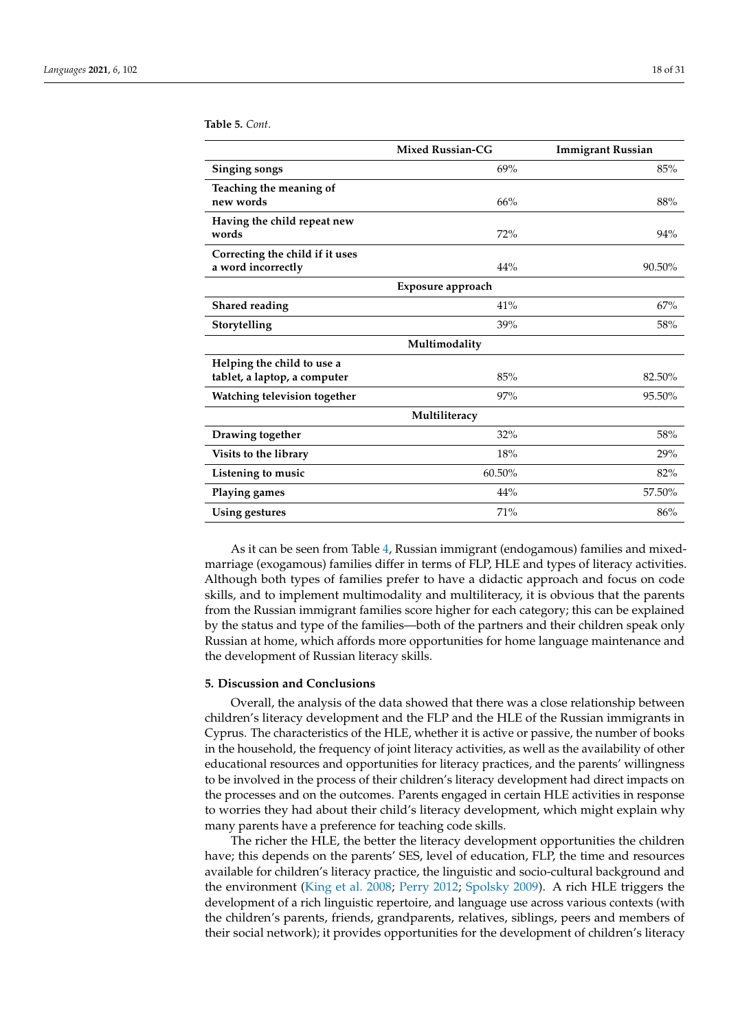|                                                            | <b>Mixed Russian-CG</b> | <b>Immigrant Russian</b> |
|------------------------------------------------------------|-------------------------|--------------------------|
| Singing songs                                              | 69%                     | 85%                      |
| Teaching the meaning of<br>new words                       | 66%                     | 88%                      |
| Having the child repeat new<br>words                       | 72%                     | 94%                      |
| Correcting the child if it uses<br>a word incorrectly      | 44%                     | 90.50%                   |
| Exposure approach                                          |                         |                          |
| <b>Shared reading</b>                                      | 41%                     | 67%                      |
| Storytelling                                               | 39%                     | 58%                      |
|                                                            | Multimodality           |                          |
| Helping the child to use a<br>tablet, a laptop, a computer | 85%                     | 82.50%                   |
| Watching television together                               | 97%                     | 95.50%                   |
| Multiliteracy                                              |                         |                          |
| Drawing together                                           | 32%                     | 58%                      |
| Visits to the library                                      | 18%                     | 29%                      |
| Listening to music                                         | 60.50%                  | 82%                      |
| Playing games                                              | 44%                     | 57.50%                   |
| Using gestures                                             | 71%                     | 86%                      |

<span id="page-17-0"></span>**Table 5.** *Cont*.

As it can be seen from Table [4,](#page-12-0) Russian immigrant (endogamous) families and mixedmarriage (exogamous) families differ in terms of FLP, HLE and types of literacy activities. Although both types of families prefer to have a didactic approach and focus on code skills, and to implement multimodality and multiliteracy, it is obvious that the parents from the Russian immigrant families score higher for each category; this can be explained by the status and type of the families—both of the partners and their children speak only Russian at home, which affords more opportunities for home language maintenance and the development of Russian literacy skills.

## **5. Discussion and Conclusions**

Overall, the analysis of the data showed that there was a close relationship between children's literacy development and the FLP and the HLE of the Russian immigrants in Cyprus. The characteristics of the HLE, whether it is active or passive, the number of books in the household, the frequency of joint literacy activities, as well as the availability of other educational resources and opportunities for literacy practices, and the parents' willingness to be involved in the process of their children's literacy development had direct impacts on the processes and on the outcomes. Parents engaged in certain HLE activities in response to worries they had about their child's literacy development, which might explain why many parents have a preference for teaching code skills.

The richer the HLE, the better the literacy development opportunities the children have; this depends on the parents' SES, level of education, FLP, the time and resources available for children's literacy practice, the linguistic and socio-cultural background and the environment [\(King et al.](#page-27-3) [2008;](#page-27-3) [Perry](#page-29-26) [2012;](#page-29-26) [Spolsky](#page-30-1) [2009\)](#page-30-1). A rich HLE triggers the development of a rich linguistic repertoire, and language use across various contexts (with the children's parents, friends, grandparents, relatives, siblings, peers and members of their social network); it provides opportunities for the development of children's literacy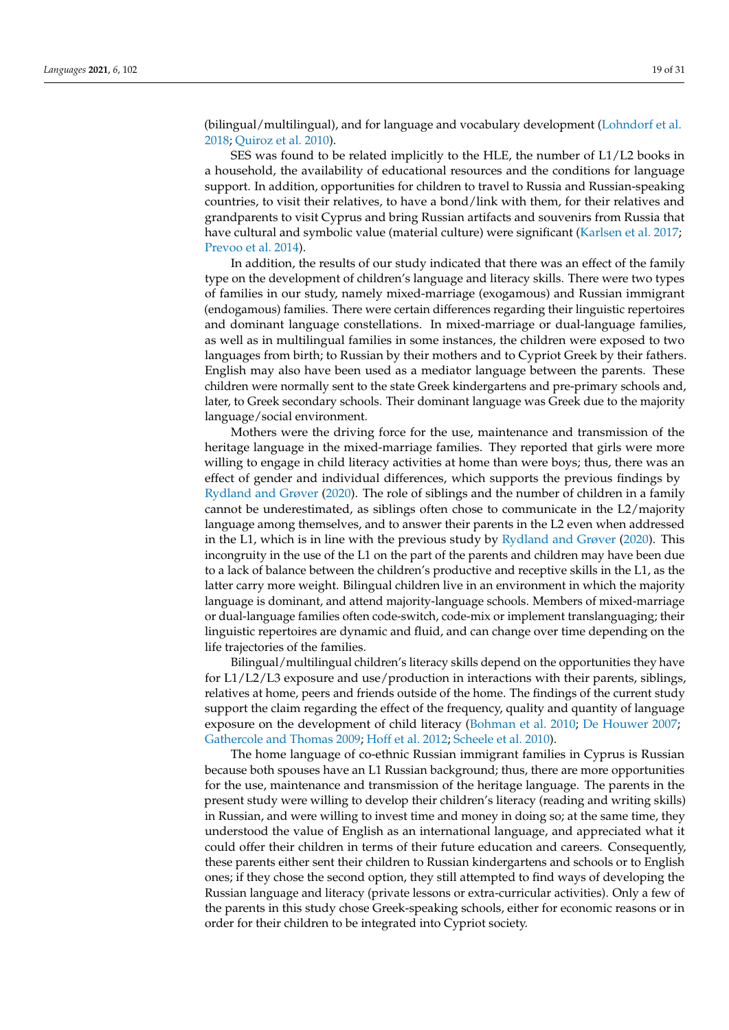(bilingual/multilingual), and for language and vocabulary development [\(Lohndorf et al.](#page-28-13) [2018;](#page-28-13) [Quiroz et al.](#page-29-27) [2010\)](#page-29-27).

SES was found to be related implicitly to the HLE, the number of L1/L2 books in a household, the availability of educational resources and the conditions for language support. In addition, opportunities for children to travel to Russia and Russian-speaking countries, to visit their relatives, to have a bond/link with them, for their relatives and grandparents to visit Cyprus and bring Russian artifacts and souvenirs from Russia that have cultural and symbolic value (material culture) were significant [\(Karlsen et al.](#page-27-12) [2017;](#page-27-12) [Prevoo et al.](#page-29-8) [2014\)](#page-29-8).

In addition, the results of our study indicated that there was an effect of the family type on the development of children's language and literacy skills. There were two types of families in our study, namely mixed-marriage (exogamous) and Russian immigrant (endogamous) families. There were certain differences regarding their linguistic repertoires and dominant language constellations. In mixed-marriage or dual-language families, as well as in multilingual families in some instances, the children were exposed to two languages from birth; to Russian by their mothers and to Cypriot Greek by their fathers. English may also have been used as a mediator language between the parents. These children were normally sent to the state Greek kindergartens and pre-primary schools and, later, to Greek secondary schools. Their dominant language was Greek due to the majority language/social environment.

Mothers were the driving force for the use, maintenance and transmission of the heritage language in the mixed-marriage families. They reported that girls were more willing to engage in child literacy activities at home than were boys; thus, there was an effect of gender and individual differences, which supports the previous findings by [Rydland and Grøver](#page-29-9) [\(2020\)](#page-29-9). The role of siblings and the number of children in a family cannot be underestimated, as siblings often chose to communicate in the L2/majority language among themselves, and to answer their parents in the L2 even when addressed in the L1, which is in line with the previous study by [Rydland and Grøver](#page-29-9) [\(2020\)](#page-29-9). This incongruity in the use of the L1 on the part of the parents and children may have been due to a lack of balance between the children's productive and receptive skills in the L1, as the latter carry more weight. Bilingual children live in an environment in which the majority language is dominant, and attend majority-language schools. Members of mixed-marriage or dual-language families often code-switch, code-mix or implement translanguaging; their linguistic repertoires are dynamic and fluid, and can change over time depending on the life trajectories of the families.

Bilingual/multilingual children's literacy skills depend on the opportunities they have for L1/L2/L3 exposure and use/production in interactions with their parents, siblings, relatives at home, peers and friends outside of the home. The findings of the current study support the claim regarding the effect of the frequency, quality and quantity of language exposure on the development of child literacy [\(Bohman et al.](#page-25-11) [2010;](#page-25-11) [De Houwer](#page-26-30) [2007;](#page-26-30) [Gathercole and Thomas](#page-26-31) [2009;](#page-26-31) [Hoff et al.](#page-27-29) [2012;](#page-27-29) [Scheele et al.](#page-29-28) [2010\)](#page-29-28).

The home language of co-ethnic Russian immigrant families in Cyprus is Russian because both spouses have an L1 Russian background; thus, there are more opportunities for the use, maintenance and transmission of the heritage language. The parents in the present study were willing to develop their children's literacy (reading and writing skills) in Russian, and were willing to invest time and money in doing so; at the same time, they understood the value of English as an international language, and appreciated what it could offer their children in terms of their future education and careers. Consequently, these parents either sent their children to Russian kindergartens and schools or to English ones; if they chose the second option, they still attempted to find ways of developing the Russian language and literacy (private lessons or extra-curricular activities). Only a few of the parents in this study chose Greek-speaking schools, either for economic reasons or in order for their children to be integrated into Cypriot society.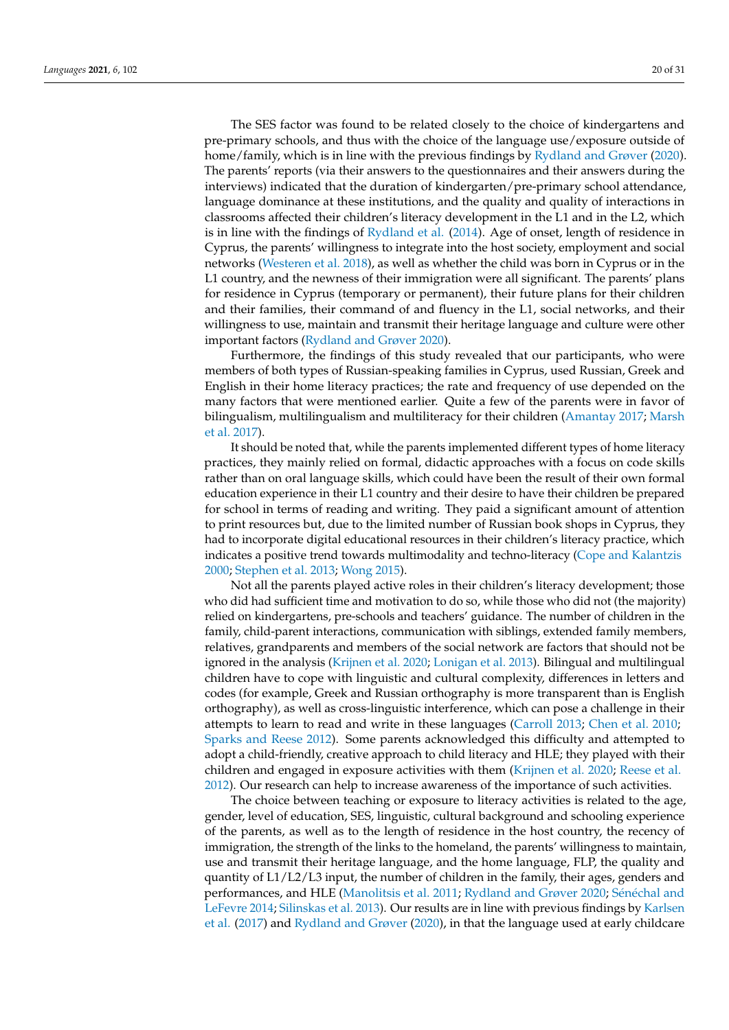The SES factor was found to be related closely to the choice of kindergartens and pre-primary schools, and thus with the choice of the language use/exposure outside of home/family, which is in line with the previous findings by [Rydland and Grøver](#page-29-9) [\(2020\)](#page-29-9). The parents' reports (via their answers to the questionnaires and their answers during the interviews) indicated that the duration of kindergarten/pre-primary school attendance, language dominance at these institutions, and the quality and quality of interactions in classrooms affected their children's literacy development in the L1 and in the L2, which is in line with the findings of [Rydland et al.](#page-29-29) [\(2014\)](#page-29-29). Age of onset, length of residence in Cyprus, the parents' willingness to integrate into the host society, employment and social networks [\(Westeren et al.](#page-30-11) [2018\)](#page-30-11), as well as whether the child was born in Cyprus or in the L1 country, and the newness of their immigration were all significant. The parents' plans for residence in Cyprus (temporary or permanent), their future plans for their children and their families, their command of and fluency in the L1, social networks, and their willingness to use, maintain and transmit their heritage language and culture were other important factors [\(Rydland and Grøver](#page-29-9) [2020\)](#page-29-9).

Furthermore, the findings of this study revealed that our participants, who were members of both types of Russian-speaking families in Cyprus, used Russian, Greek and English in their home literacy practices; the rate and frequency of use depended on the many factors that were mentioned earlier. Quite a few of the parents were in favor of bilingualism, multilingualism and multiliteracy for their children [\(Amantay](#page-24-2) [2017;](#page-24-2) [Marsh](#page-28-1) [et al.](#page-28-1) [2017\)](#page-28-1).

It should be noted that, while the parents implemented different types of home literacy practices, they mainly relied on formal, didactic approaches with a focus on code skills rather than on oral language skills, which could have been the result of their own formal education experience in their L1 country and their desire to have their children be prepared for school in terms of reading and writing. They paid a significant amount of attention to print resources but, due to the limited number of Russian book shops in Cyprus, they had to incorporate digital educational resources in their children's literacy practice, which indicates a positive trend towards multimodality and techno-literacy [\(Cope and Kalantzis](#page-25-0) [2000;](#page-25-0) [Stephen et al.](#page-30-2) [2013;](#page-30-2) [Wong](#page-30-3) [2015\)](#page-30-3).

Not all the parents played active roles in their children's literacy development; those who did had sufficient time and motivation to do so, while those who did not (the majority) relied on kindergartens, pre-schools and teachers' guidance. The number of children in the family, child-parent interactions, communication with siblings, extended family members, relatives, grandparents and members of the social network are factors that should not be ignored in the analysis [\(Krijnen et al.](#page-28-0) [2020;](#page-28-0) [Lonigan et al.](#page-28-15) [2013\)](#page-28-15). Bilingual and multilingual children have to cope with linguistic and cultural complexity, differences in letters and codes (for example, Greek and Russian orthography is more transparent than is English orthography), as well as cross-linguistic interference, which can pose a challenge in their attempts to learn to read and write in these languages [\(Carroll](#page-25-10) [2013;](#page-25-10) [Chen et al.](#page-25-32) [2010;](#page-25-32) [Sparks and Reese](#page-30-13) [2012\)](#page-30-13). Some parents acknowledged this difficulty and attempted to adopt a child-friendly, creative approach to child literacy and HLE; they played with their children and engaged in exposure activities with them [\(Krijnen et al.](#page-28-0) [2020;](#page-28-0) [Reese et al.](#page-29-5) [2012\)](#page-29-5). Our research can help to increase awareness of the importance of such activities.

The choice between teaching or exposure to literacy activities is related to the age, gender, level of education, SES, linguistic, cultural background and schooling experience of the parents, as well as to the length of residence in the host country, the recency of immigration, the strength of the links to the homeland, the parents' willingness to maintain, use and transmit their heritage language, and the home language, FLP, the quality and quantity of L1/L2/L3 input, the number of children in the family, their ages, genders and performances, and HLE [\(Manolitsis et al.](#page-28-11) [2011;](#page-28-11) [Rydland and Grøver](#page-29-9) [2020;](#page-29-9) Séné[chal and](#page-30-9) [LeFevre](#page-30-9) [2014;](#page-30-9) [Silinskas et al.](#page-30-17) [2013\)](#page-30-17). Our results are in line with previous findings by [Karlsen](#page-27-12) [et al.](#page-27-12) [\(2017\)](#page-27-12) and [Rydland and Grøver](#page-29-9) [\(2020\)](#page-29-9), in that the language used at early childcare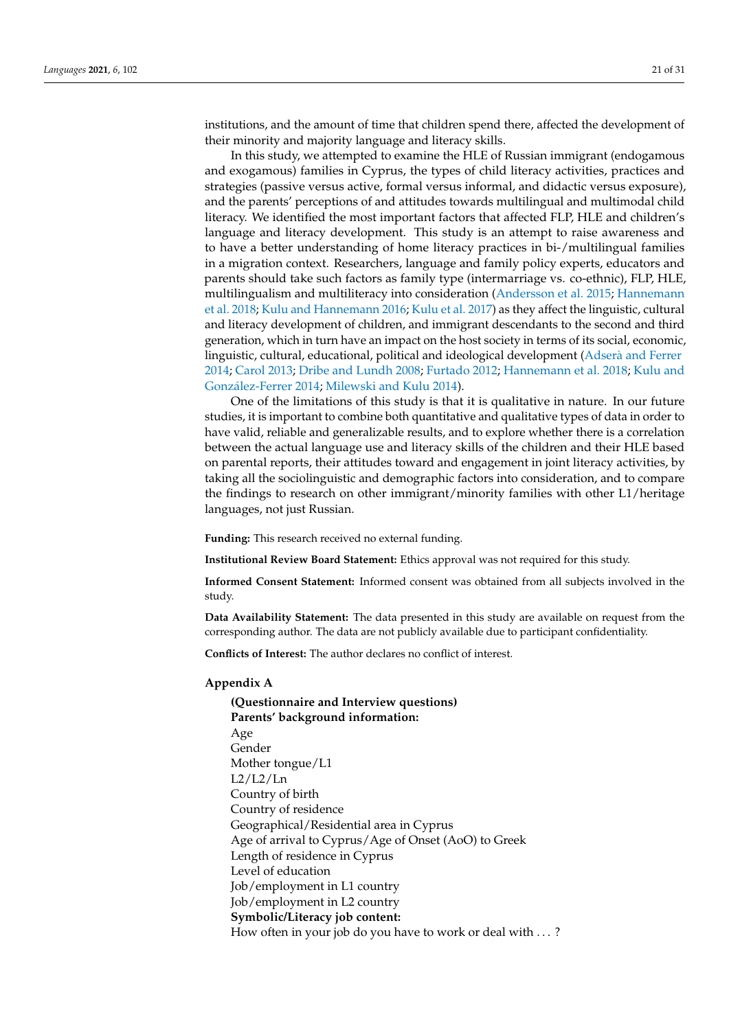institutions, and the amount of time that children spend there, affected the development of their minority and majority language and literacy skills.

In this study, we attempted to examine the HLE of Russian immigrant (endogamous and exogamous) families in Cyprus, the types of child literacy activities, practices and strategies (passive versus active, formal versus informal, and didactic versus exposure), and the parents' perceptions of and attitudes towards multilingual and multimodal child literacy. We identified the most important factors that affected FLP, HLE and children's language and literacy development. This study is an attempt to raise awareness and to have a better understanding of home literacy practices in bi-/multilingual families in a migration context. Researchers, language and family policy experts, educators and parents should take such factors as family type (intermarriage vs. co-ethnic), FLP, HLE, multilingualism and multiliteracy into consideration [\(Andersson et al.](#page-24-3) [2015;](#page-24-3) [Hannemann](#page-27-13) [et al.](#page-27-13) [2018;](#page-27-13) [Kulu and Hannemann](#page-28-16) [2016;](#page-28-16) [Kulu et al.](#page-28-17) [2017\)](#page-28-17) as they affect the linguistic, cultural and literacy development of children, and immigrant descendants to the second and third generation, which in turn have an impact on the host society in terms of its social, economic, linguistic, cultural, educational, political and ideological development (Adserà [and Ferrer](#page-24-4) [2014;](#page-24-4) [Carol](#page-25-12) [2013;](#page-25-12) [Dribe and Lundh](#page-26-15) [2008;](#page-26-15) [Furtado](#page-26-16) [2012;](#page-26-16) [Hannemann et al.](#page-27-13) [2018;](#page-27-13) [Kulu and](#page-28-18) Gonzá[lez-Ferrer](#page-28-18) [2014;](#page-28-18) [Milewski and Kulu](#page-28-19) [2014\)](#page-28-19).

One of the limitations of this study is that it is qualitative in nature. In our future studies, it is important to combine both quantitative and qualitative types of data in order to have valid, reliable and generalizable results, and to explore whether there is a correlation between the actual language use and literacy skills of the children and their HLE based on parental reports, their attitudes toward and engagement in joint literacy activities, by taking all the sociolinguistic and demographic factors into consideration, and to compare the findings to research on other immigrant/minority families with other L1/heritage languages, not just Russian.

**Funding:** This research received no external funding.

**Institutional Review Board Statement:** Ethics approval was not required for this study.

**Informed Consent Statement:** Informed consent was obtained from all subjects involved in the study.

**Data Availability Statement:** The data presented in this study are available on request from the corresponding author. The data are not publicly available due to participant confidentiality.

**Conflicts of Interest:** The author declares no conflict of interest.

#### <span id="page-20-0"></span>**Appendix A**

**(Questionnaire and Interview questions) Parents' background information:** Age Gender Mother tongue/L1  $L2/L2/Ln$ Country of birth Country of residence Geographical/Residential area in Cyprus Age of arrival to Cyprus/Age of Onset (AoO) to Greek Length of residence in Cyprus Level of education Job/employment in L1 country Job/employment in L2 country **Symbolic/Literacy job content:** How often in your job do you have to work or deal with . . . ?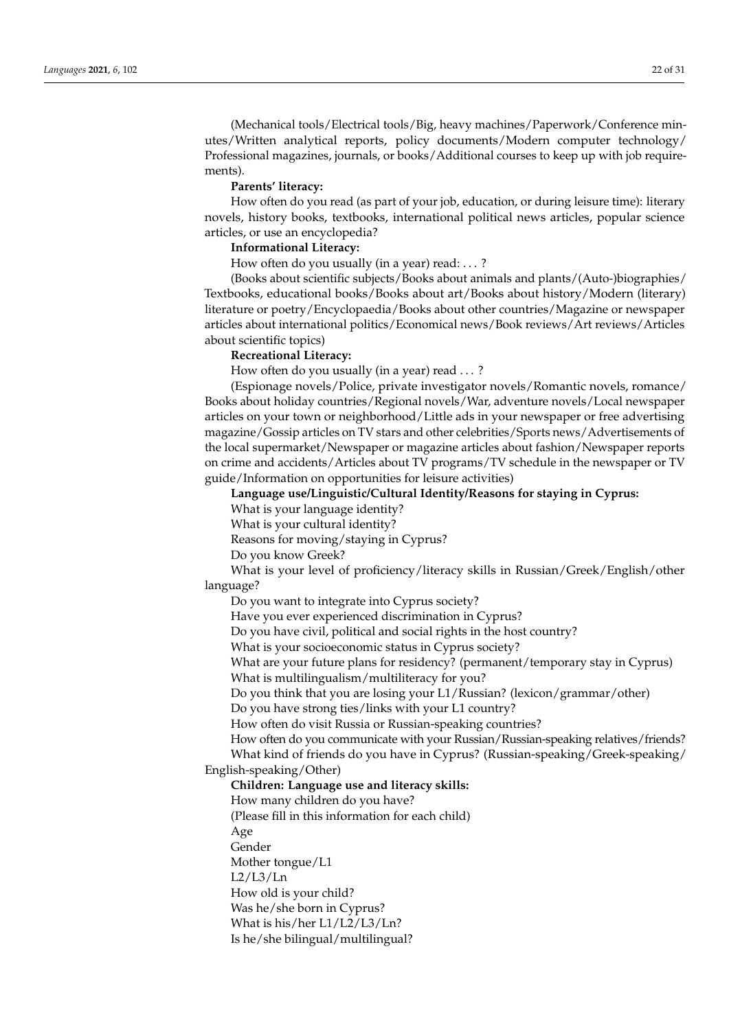(Mechanical tools/Electrical tools/Big, heavy machines/Paperwork/Conference minutes/Written analytical reports, policy documents/Modern computer technology/ Professional magazines, journals, or books/Additional courses to keep up with job requirements).

#### **Parents' literacy:**

How often do you read (as part of your job, education, or during leisure time): literary novels, history books, textbooks, international political news articles, popular science articles, or use an encyclopedia?

## **Informational Literacy:**

How often do you usually (in a year) read: . . . ?

(Books about scientific subjects/Books about animals and plants/(Auto-)biographies/ Textbooks, educational books/Books about art/Books about history/Modern (literary) literature or poetry/Encyclopaedia/Books about other countries/Magazine or newspaper articles about international politics/Economical news/Book reviews/Art reviews/Articles about scientific topics)

### **Recreational Literacy:**

How often do you usually (in a year) read . . . ?

(Espionage novels/Police, private investigator novels/Romantic novels, romance/ Books about holiday countries/Regional novels/War, adventure novels/Local newspaper articles on your town or neighborhood/Little ads in your newspaper or free advertising magazine/Gossip articles on TV stars and other celebrities/Sports news/Advertisements of the local supermarket/Newspaper or magazine articles about fashion/Newspaper reports on crime and accidents/Articles about TV programs/TV schedule in the newspaper or TV guide/Information on opportunities for leisure activities)

**Language use/Linguistic/Cultural Identity/Reasons for staying in Cyprus:**

What is your language identity?

What is your cultural identity?

Reasons for moving/staying in Cyprus?

Do you know Greek?

What is your level of proficiency/literacy skills in Russian/Greek/English/other language?

Do you want to integrate into Cyprus society?

Have you ever experienced discrimination in Cyprus?

Do you have civil, political and social rights in the host country?

What is your socioeconomic status in Cyprus society?

What are your future plans for residency? (permanent/temporary stay in Cyprus) What is multilingualism/multiliteracy for you?

Do you think that you are losing your L1/Russian? (lexicon/grammar/other)

Do you have strong ties/links with your L1 country?

How often do visit Russia or Russian-speaking countries?

How often do you communicate with your Russian/Russian-speaking relatives/friends? What kind of friends do you have in Cyprus? (Russian-speaking/Greek-speaking/ English-speaking/Other)

**Children: Language use and literacy skills:**

How many children do you have?

(Please fill in this information for each child)

Age

Gender

Mother tongue/L1

 $L2/L3/Ln$ 

How old is your child?

Was he/she born in Cyprus?

What is his/her L1/L2/L3/Ln?

Is he/she bilingual/multilingual?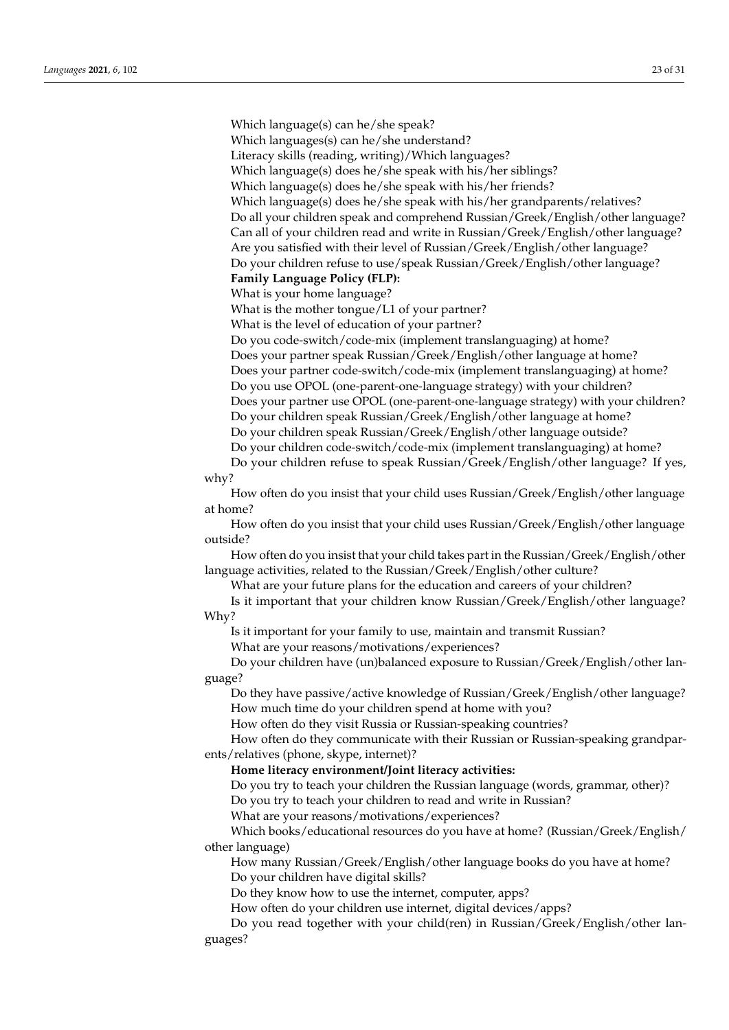Which language(s) can he/she speak?

Which languages(s) can he/she understand?

Literacy skills (reading, writing)/Which languages?

Which language(s) does he/she speak with his/her siblings?

Which language(s) does he/she speak with his/her friends?

Which language(s) does he/she speak with his/her grandparents/relatives? Do all your children speak and comprehend Russian/Greek/English/other language? Can all of your children read and write in Russian/Greek/English/other language? Are you satisfied with their level of Russian/Greek/English/other language?

Do your children refuse to use/speak Russian/Greek/English/other language?

**Family Language Policy (FLP):**

What is your home language?

What is the mother tongue/L1 of your partner?

What is the level of education of your partner?

Do you code-switch/code-mix (implement translanguaging) at home? Does your partner speak Russian/Greek/English/other language at home? Does your partner code-switch/code-mix (implement translanguaging) at home? Do you use OPOL (one-parent-one-language strategy) with your children? Does your partner use OPOL (one-parent-one-language strategy) with your children? Do your children speak Russian/Greek/English/other language at home? Do your children speak Russian/Greek/English/other language outside? Do your children code-switch/code-mix (implement translanguaging) at home?

Do your children refuse to speak Russian/Greek/English/other language? If yes, why?

How often do you insist that your child uses Russian/Greek/English/other language at home?

How often do you insist that your child uses Russian/Greek/English/other language outside?

How often do you insist that your child takes part in the Russian/Greek/English/other language activities, related to the Russian/Greek/English/other culture?

What are your future plans for the education and careers of your children?

Is it important that your children know Russian/Greek/English/other language? Why?

Is it important for your family to use, maintain and transmit Russian?

What are your reasons/motivations/experiences?

Do your children have (un)balanced exposure to Russian/Greek/English/other language?

Do they have passive/active knowledge of Russian/Greek/English/other language? How much time do your children spend at home with you?

How often do they visit Russia or Russian-speaking countries?

How often do they communicate with their Russian or Russian-speaking grandparents/relatives (phone, skype, internet)?

**Home literacy environment/Joint literacy activities:**

Do you try to teach your children the Russian language (words, grammar, other)?

Do you try to teach your children to read and write in Russian?

What are your reasons/motivations/experiences?

Which books/educational resources do you have at home? (Russian/Greek/English/ other language)

How many Russian/Greek/English/other language books do you have at home? Do your children have digital skills?

Do they know how to use the internet, computer, apps?

How often do your children use internet, digital devices/apps?

Do you read together with your child(ren) in Russian/Greek/English/other languages?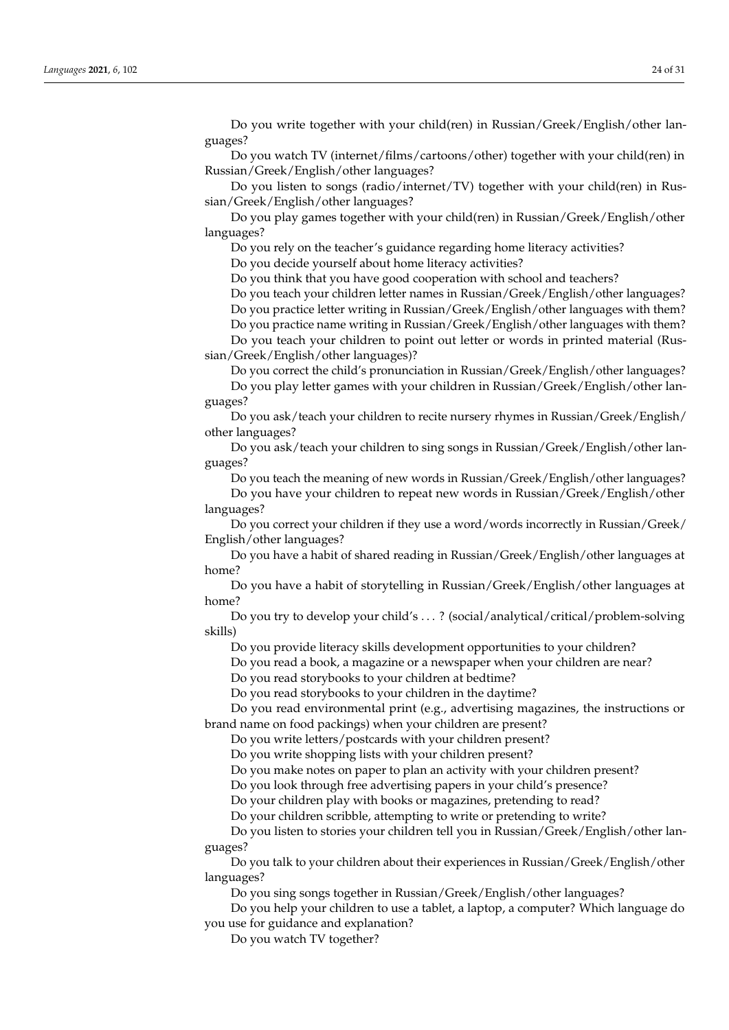Do you write together with your child(ren) in Russian/Greek/English/other languages?

Do you watch TV (internet/films/cartoons/other) together with your child(ren) in Russian/Greek/English/other languages?

Do you listen to songs (radio/internet/TV) together with your child(ren) in Russian/Greek/English/other languages?

Do you play games together with your child(ren) in Russian/Greek/English/other languages?

Do you rely on the teacher's guidance regarding home literacy activities?

Do you decide yourself about home literacy activities?

Do you think that you have good cooperation with school and teachers?

Do you teach your children letter names in Russian/Greek/English/other languages?

Do you practice letter writing in Russian/Greek/English/other languages with them? Do you practice name writing in Russian/Greek/English/other languages with them?

Do you teach your children to point out letter or words in printed material (Russian/Greek/English/other languages)?

Do you correct the child's pronunciation in Russian/Greek/English/other languages? Do you play letter games with your children in Russian/Greek/English/other lan-

guages?

Do you ask/teach your children to recite nursery rhymes in Russian/Greek/English/ other languages?

Do you ask/teach your children to sing songs in Russian/Greek/English/other languages?

Do you teach the meaning of new words in Russian/Greek/English/other languages? Do you have your children to repeat new words in Russian/Greek/English/other languages?

Do you correct your children if they use a word/words incorrectly in Russian/Greek/ English/other languages?

Do you have a habit of shared reading in Russian/Greek/English/other languages at home?

Do you have a habit of storytelling in Russian/Greek/English/other languages at home?

Do you try to develop your child's . . . ? (social/analytical/critical/problem-solving skills)

Do you provide literacy skills development opportunities to your children?

Do you read a book, a magazine or a newspaper when your children are near?

Do you read storybooks to your children at bedtime?

Do you read storybooks to your children in the daytime?

Do you read environmental print (e.g., advertising magazines, the instructions or brand name on food packings) when your children are present?

Do you write letters/postcards with your children present?

Do you write shopping lists with your children present?

Do you make notes on paper to plan an activity with your children present?

Do you look through free advertising papers in your child's presence?

Do your children play with books or magazines, pretending to read?

Do your children scribble, attempting to write or pretending to write?

Do you listen to stories your children tell you in Russian/Greek/English/other languages?

Do you talk to your children about their experiences in Russian/Greek/English/other languages?

Do you sing songs together in Russian/Greek/English/other languages?

Do you help your children to use a tablet, a laptop, a computer? Which language do you use for guidance and explanation?

Do you watch TV together?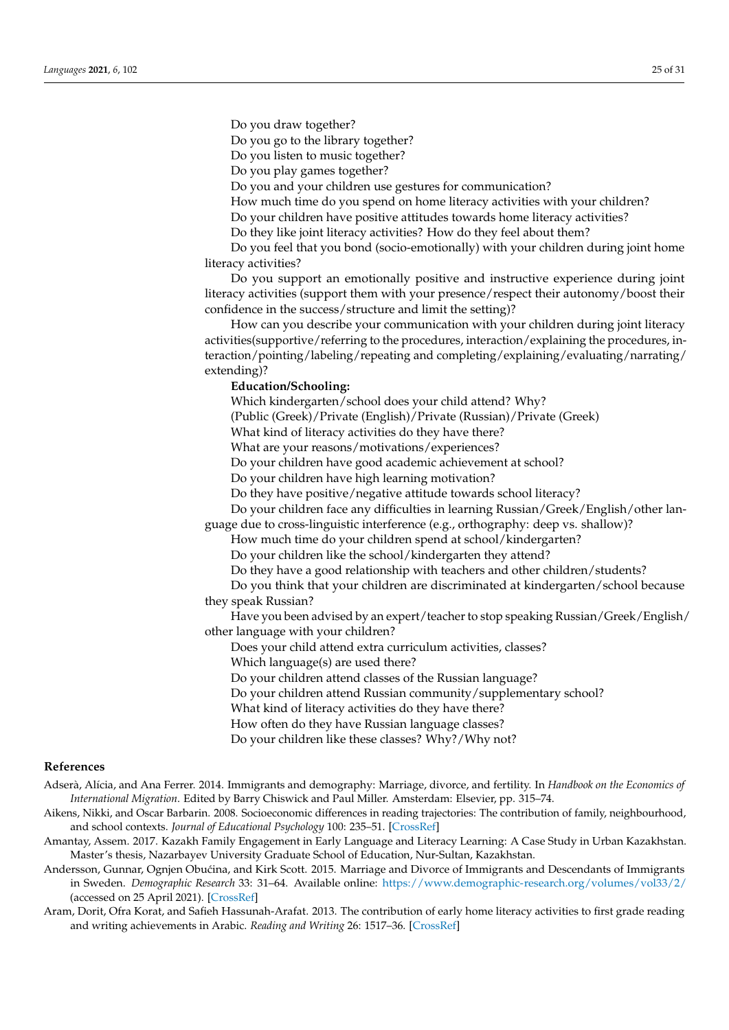Do you draw together?

Do you go to the library together?

Do you listen to music together?

Do you play games together?

Do you and your children use gestures for communication?

How much time do you spend on home literacy activities with your children?

Do your children have positive attitudes towards home literacy activities?

Do they like joint literacy activities? How do they feel about them?

Do you feel that you bond (socio-emotionally) with your children during joint home literacy activities?

Do you support an emotionally positive and instructive experience during joint literacy activities (support them with your presence/respect their autonomy/boost their confidence in the success/structure and limit the setting)?

How can you describe your communication with your children during joint literacy activities(supportive/referring to the procedures, interaction/explaining the procedures, interaction/pointing/labeling/repeating and completing/explaining/evaluating/narrating/ extending)?

# **Education/Schooling:**

Which kindergarten/school does your child attend? Why?

(Public (Greek)/Private (English)/Private (Russian)/Private (Greek)

What kind of literacy activities do they have there?

What are your reasons/motivations/experiences?

Do your children have good academic achievement at school?

Do your children have high learning motivation?

Do they have positive/negative attitude towards school literacy?

Do your children face any difficulties in learning Russian/Greek/English/other lan-

guage due to cross-linguistic interference (e.g., orthography: deep vs. shallow)?

How much time do your children spend at school/kindergarten?

Do your children like the school/kindergarten they attend?

Do they have a good relationship with teachers and other children/students?

Do you think that your children are discriminated at kindergarten/school because they speak Russian?

Have you been advised by an expert/teacher to stop speaking Russian/Greek/English/ other language with your children?

Does your child attend extra curriculum activities, classes?

Which language(s) are used there?

Do your children attend classes of the Russian language?

Do your children attend Russian community/supplementary school?

What kind of literacy activities do they have there?

How often do they have Russian language classes?

Do your children like these classes? Why?/Why not?

## **References**

- <span id="page-24-4"></span>Adserà, Alícia, and Ana Ferrer. 2014. Immigrants and demography: Marriage, divorce, and fertility. In *Handbook on the Economics of International Migration*. Edited by Barry Chiswick and Paul Miller. Amsterdam: Elsevier, pp. 315–74.
- <span id="page-24-1"></span>Aikens, Nikki, and Oscar Barbarin. 2008. Socioeconomic differences in reading trajectories: The contribution of family, neighbourhood, and school contexts. *Journal of Educational Psychology* 100: 235–51. [\[CrossRef\]](http://doi.org/10.1037/0022-0663.100.2.235)
- <span id="page-24-2"></span>Amantay, Assem. 2017. Kazakh Family Engagement in Early Language and Literacy Learning: A Case Study in Urban Kazakhstan. Master's thesis, Nazarbayev University Graduate School of Education, Nur-Sultan, Kazakhstan.
- <span id="page-24-3"></span>Andersson, Gunnar, Ognjen Obućina, and Kirk Scott. 2015. Marriage and Divorce of Immigrants and Descendants of Immigrants in Sweden. *Demographic Research* 33: 31–64. Available online: <https://www.demographic-research.org/volumes/vol33/2/> (accessed on 25 April 2021). [\[CrossRef\]](http://doi.org/10.4054/DemRes.2015.33.2)
- <span id="page-24-0"></span>Aram, Dorit, Ofra Korat, and Safieh Hassunah-Arafat. 2013. The contribution of early home literacy activities to first grade reading and writing achievements in Arabic. *Reading and Writing* 26: 1517–36. [\[CrossRef\]](http://doi.org/10.1007/s11145-013-9430-y)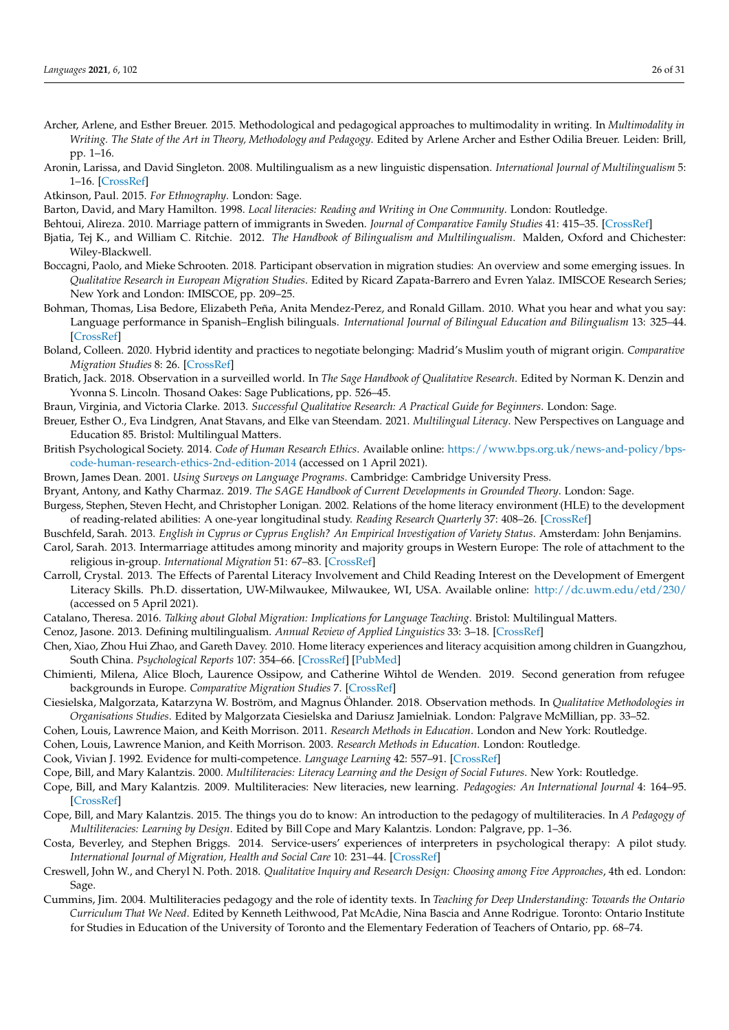- <span id="page-25-5"></span>Archer, Arlene, and Esther Breuer. 2015. Methodological and pedagogical approaches to multimodality in writing. In *Multimodality in Writing. The State of the Art in Theory, Methodology and Pedagogy*. Edited by Arlene Archer and Esther Odilia Breuer. Leiden: Brill, pp. 1–16.
- <span id="page-25-2"></span>Aronin, Larissa, and David Singleton. 2008. Multilingualism as a new linguistic dispensation. *International Journal of Multilingualism* 5: 1–16. [\[CrossRef\]](http://doi.org/10.2167/ijm072.0)

<span id="page-25-27"></span>Atkinson, Paul. 2015. *For Ethnography*. London: Sage.

<span id="page-25-6"></span>Barton, David, and Mary Hamilton. 1998. *Local literacies: Reading and Writing in One Community*. London: Routledge.

- <span id="page-25-13"></span>Behtoui, Alireza. 2010. Marriage pattern of immigrants in Sweden. *Journal of Comparative Family Studies* 41: 415–35. [\[CrossRef\]](http://doi.org/10.3138/jcfs.41.3.415)
- <span id="page-25-31"></span>Bjatia, Tej K., and William C. Ritchie. 2012. *The Handbook of Bilingualism and Multilingualism*. Malden, Oxford and Chichester: Wiley-Blackwell.
- <span id="page-25-28"></span>Boccagni, Paolo, and Mieke Schrooten. 2018. Participant observation in migration studies: An overview and some emerging issues. In *Qualitative Research in European Migration Studies*. Edited by Ricard Zapata-Barrero and Evren Yalaz. IMISCOE Research Series; New York and London: IMISCOE, pp. 209–25.
- <span id="page-25-11"></span>Bohman, Thomas, Lisa Bedore, Elizabeth Peña, Anita Mendez-Perez, and Ronald Gillam. 2010. What you hear and what you say: Language performance in Spanish–English bilinguals. *International Journal of Bilingual Education and Bilingualism* 13: 325–44. [\[CrossRef\]](http://doi.org/10.1080/13670050903342019)
- <span id="page-25-14"></span>Boland, Colleen. 2020. Hybrid identity and practices to negotiate belonging: Madrid's Muslim youth of migrant origin. *Comparative Migration Studies* 8: 26. [\[CrossRef\]](http://doi.org/10.1186/s40878-020-00185-2)
- <span id="page-25-24"></span>Bratich, Jack. 2018. Observation in a surveilled world. In *The Sage Handbook of Qualitative Research*. Edited by Norman K. Denzin and Yvonna S. Lincoln. Thosand Oakes: Sage Publications, pp. 526–45.
- <span id="page-25-20"></span>Braun, Virginia, and Victoria Clarke. 2013. *Successful Qualitative Research: A Practical Guide for Beginners*. London: Sage.
- <span id="page-25-1"></span>Breuer, Esther O., Eva Lindgren, Anat Stavans, and Elke van Steendam. 2021. *Multilingual Literacy*. New Perspectives on Language and Education 85. Bristol: Multilingual Matters.
- <span id="page-25-23"></span>British Psychological Society. 2014. *Code of Human Research Ethics*. Available online: [https://www.bps.org.uk/news-and-policy/bps](https://www.bps.org.uk/news-and-policy/bps-code-human-research-ethics-2nd-edition-2014)[code-human-research-ethics-2nd-edition-2014](https://www.bps.org.uk/news-and-policy/bps-code-human-research-ethics-2nd-edition-2014) (accessed on 1 April 2021).
- <span id="page-25-19"></span>Brown, James Dean. 2001. *Using Surveys on Language Programs*. Cambridge: Cambridge University Press.
- <span id="page-25-29"></span><span id="page-25-18"></span>Bryant, Antony, and Kathy Charmaz. 2019. *The SAGE Handbook of Current Developments in Grounded Theory*. London: Sage.
- Burgess, Stephen, Steven Hecht, and Christopher Lonigan. 2002. Relations of the home literacy environment (HLE) to the development of reading-related abilities: A one-year longitudinal study. *Reading Research Quarterly* 37: 408–26. [\[CrossRef\]](http://doi.org/10.1598/RRQ.37.4.4)
- <span id="page-25-16"></span><span id="page-25-12"></span>Buschfeld, Sarah. 2013. *English in Cyprus or Cyprus English? An Empirical Investigation of Variety Status*. Amsterdam: John Benjamins. Carol, Sarah. 2013. Intermarriage attitudes among minority and majority groups in Western Europe: The role of attachment to the religious in-group. *International Migration* 51: 67–83. [\[CrossRef\]](http://doi.org/10.1111/imig.12090)
- <span id="page-25-10"></span>Carroll, Crystal. 2013. The Effects of Parental Literacy Involvement and Child Reading Interest on the Development of Emergent Literacy Skills. Ph.D. dissertation, UW-Milwaukee, Milwaukee, WI, USA. Available online: <http://dc.uwm.edu/etd/230/> (accessed on 5 April 2021).
- <span id="page-25-21"></span>Catalano, Theresa. 2016. *Talking about Global Migration: Implications for Language Teaching*. Bristol: Multilingual Matters.
- <span id="page-25-3"></span>Cenoz, Jasone. 2013. Defining multilingualism. *Annual Review of Applied Linguistics* 33: 3–18. [\[CrossRef\]](http://doi.org/10.1017/S026719051300007X)
- <span id="page-25-32"></span>Chen, Xiao, Zhou Hui Zhao, and Gareth Davey. 2010. Home literacy experiences and literacy acquisition among children in Guangzhou, South China. *Psychological Reports* 107: 354–66. [\[CrossRef\]](http://doi.org/10.2466/04.11.17.21.28.PR0.107.5.354-366) [\[PubMed\]](http://www.ncbi.nlm.nih.gov/pubmed/21117460)
- <span id="page-25-15"></span>Chimienti, Milena, Alice Bloch, Laurence Ossipow, and Catherine Wihtol de Wenden. 2019. Second generation from refugee backgrounds in Europe. *Comparative Migration Studies* 7. [\[CrossRef\]](http://doi.org/10.1186/s40878-019-0138-2)
- <span id="page-25-25"></span>Ciesielska, Malgorzata, Katarzyna W. Boström, and Magnus Öhlander. 2018. Observation methods. In *Qualitative Methodologies in Organisations Studies*. Edited by Malgorzata Ciesielska and Dariusz Jamielniak. London: Palgrave McMillian, pp. 33–52.
- <span id="page-25-26"></span>Cohen, Louis, Lawrence Maion, and Keith Morrison. 2011. *Research Methods in Education*. London and New York: Routledge.
- <span id="page-25-17"></span>Cohen, Louis, Lawrence Manion, and Keith Morrison. 2003. *Research Methods in Education*. London: Routledge.
- <span id="page-25-4"></span>Cook, Vivian J. 1992. Evidence for multi-competence. *Language Learning* 42: 557–91. [\[CrossRef\]](http://doi.org/10.1111/j.1467-1770.1992.tb01044.x)
- <span id="page-25-0"></span>Cope, Bill, and Mary Kalantzis. 2000. *Multiliteracies: Literacy Learning and the Design of Social Futures*. New York: Routledge.
- <span id="page-25-7"></span>Cope, Bill, and Mary Kalantzis. 2009. Multiliteracies: New literacies, new learning. *Pedagogies: An International Journal* 4: 164–95. [\[CrossRef\]](http://doi.org/10.1080/15544800903076044)
- <span id="page-25-8"></span>Cope, Bill, and Mary Kalantzis. 2015. The things you do to know: An introduction to the pedagogy of multiliteracies. In *A Pedagogy of Multiliteracies: Learning by Design*. Edited by Bill Cope and Mary Kalantzis. London: Palgrave, pp. 1–36.
- <span id="page-25-22"></span>Costa, Beverley, and Stephen Briggs. 2014. Service-users' experiences of interpreters in psychological therapy: A pilot study. *International Journal of Migration, Health and Social Care* 10: 231–44. [\[CrossRef\]](http://doi.org/10.1108/IJMHSC-12-2013-0044)
- <span id="page-25-30"></span>Creswell, John W., and Cheryl N. Poth. 2018. *Qualitative Inquiry and Research Design: Choosing among Five Approaches*, 4th ed. London: Sage.
- <span id="page-25-9"></span>Cummins, Jim. 2004. Multiliteracies pedagogy and the role of identity texts. In *Teaching for Deep Understanding: Towards the Ontario Curriculum That We Need*. Edited by Kenneth Leithwood, Pat McAdie, Nina Bascia and Anne Rodrigue. Toronto: Ontario Institute for Studies in Education of the University of Toronto and the Elementary Federation of Teachers of Ontario, pp. 68–74.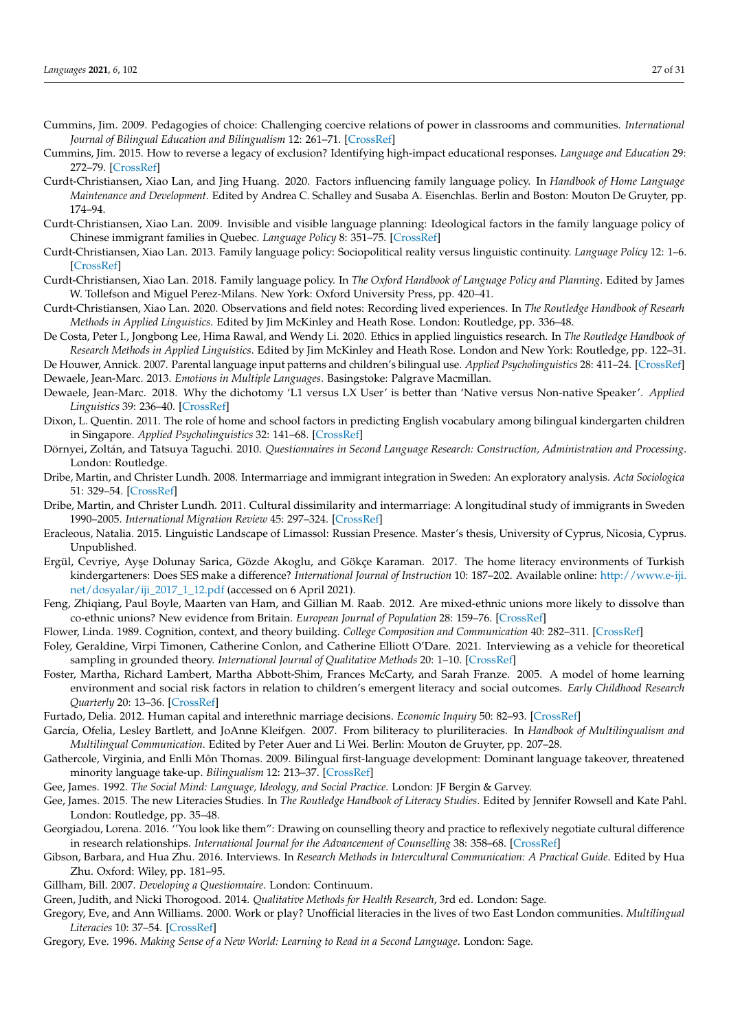- <span id="page-26-7"></span>Cummins, Jim. 2009. Pedagogies of choice: Challenging coercive relations of power in classrooms and communities. *International Journal of Bilingual Education and Bilingualism* 12: 261–71. [\[CrossRef\]](http://doi.org/10.1080/13670050903003751)
- <span id="page-26-18"></span>Cummins, Jim. 2015. How to reverse a legacy of exclusion? Identifying high-impact educational responses. *Language and Education* 29: 272–79. [\[CrossRef\]](http://doi.org/10.1080/09500782.2014.994528)
- <span id="page-26-10"></span>Curdt-Christiansen, Xiao Lan, and Jing Huang. 2020. Factors influencing family language policy. In *Handbook of Home Language Maintenance and Development*. Edited by Andrea C. Schalley and Susaba A. Eisenchlas. Berlin and Boston: Mouton De Gruyter, pp. 174–94.
- <span id="page-26-8"></span>Curdt-Christiansen, Xiao Lan. 2009. Invisible and visible language planning: Ideological factors in the family language policy of Chinese immigrant families in Quebec. *Language Policy* 8: 351–75. [\[CrossRef\]](http://doi.org/10.1007/s10993-009-9146-7)
- <span id="page-26-9"></span>Curdt-Christiansen, Xiao Lan. 2013. Family language policy: Sociopolitical reality versus linguistic continuity. *Language Policy* 12: 1–6. [\[CrossRef\]](http://doi.org/10.1007/s10993-012-9269-0)
- <span id="page-26-11"></span>Curdt-Christiansen, Xiao Lan. 2018. Family language policy. In *The Oxford Handbook of Language Policy and Planning*. Edited by James W. Tollefson and Miguel Perez-Milans. New York: Oxford University Press, pp. 420–41.
- <span id="page-26-29"></span>Curdt-Christiansen, Xiao Lan. 2020. Observations and field notes: Recording lived experiences. In *The Routledge Handbook of Researh Methods in Applied Linguistics*. Edited by Jim McKinley and Heath Rose. London: Routledge, pp. 336–48.
- <span id="page-26-28"></span>De Costa, Peter I., Jongbong Lee, Hima Rawal, and Wendy Li. 2020. Ethics in applied linguistics research. In *The Routledge Handbook of Research Methods in Applied Linguistics*. Edited by Jim McKinley and Heath Rose. London and New York: Routledge, pp. 122–31.

<span id="page-26-30"></span><span id="page-26-24"></span>De Houwer, Annick. 2007. Parental language input patterns and children's bilingual use. *Applied Psycholinguistics* 28: 411–24. [\[CrossRef\]](http://doi.org/10.1017/S0142716407070221) Dewaele, Jean-Marc. 2013. *Emotions in Multiple Languages*. Basingstoke: Palgrave Macmillan.

- <span id="page-26-26"></span>Dewaele, Jean-Marc. 2018. Why the dichotomy 'L1 versus LX User' is better than 'Native versus Non-native Speaker'. *Applied Linguistics* 39: 236–40. [\[CrossRef\]](http://doi.org/10.1093/applin/amw055)
- <span id="page-26-12"></span>Dixon, L. Quentin. 2011. The role of home and school factors in predicting English vocabulary among bilingual kindergarten children in Singapore. *Applied Psycholinguistics* 32: 141–68. [\[CrossRef\]](http://doi.org/10.1017/S0142716410000329)
- <span id="page-26-21"></span>Dörnyei, Zoltán, and Tatsuya Taguchi. 2010. *Questionnaires in Second Language Research: Construction, Administration and Processing*. London: Routledge.
- <span id="page-26-15"></span>Dribe, Martin, and Christer Lundh. 2008. Intermarriage and immigrant integration in Sweden: An exploratory analysis. *Acta Sociologica* 51: 329–54. [\[CrossRef\]](http://doi.org/10.1177/0001699308097377)
- <span id="page-26-17"></span>Dribe, Martin, and Christer Lundh. 2011. Cultural dissimilarity and intermarriage: A longitudinal study of immigrants in Sweden 1990–2005. *International Migration Review* 45: 297–324. [\[CrossRef\]](http://doi.org/10.1111/j.1747-7379.2011.00849.x)
- <span id="page-26-19"></span>Eracleous, Natalia. 2015. Linguistic Landscape of Limassol: Russian Presence. Master's thesis, University of Cyprus, Nicosia, Cyprus. Unpublished.
- <span id="page-26-13"></span>Ergül, Cevriye, Ayşe Dolunay Sarica, Gözde Akoglu, and Gökçe Karaman. 2017. The home literacy environments of Turkish kindergarteners: Does SES make a difference? *International Journal of Instruction* 10: 187–202. Available online: [http://www.e-iji.](http://www.e-iji.net/dosyalar/iji_2017_1_12.pdf) [net/dosyalar/iji\\_2017\\_1\\_12.pdf](http://www.e-iji.net/dosyalar/iji_2017_1_12.pdf) (accessed on 6 April 2021).
- <span id="page-26-14"></span>Feng, Zhiqiang, Paul Boyle, Maarten van Ham, and Gillian M. Raab. 2012. Are mixed-ethnic unions more likely to dissolve than co-ethnic unions? New evidence from Britain. *European Journal of Population* 28: 159–76. [\[CrossRef\]](http://doi.org/10.1007/s10680-012-9259-0)
- <span id="page-26-2"></span>Flower, Linda. 1989. Cognition, context, and theory building. *College Composition and Communication* 40: 282–311. [\[CrossRef\]](http://doi.org/10.2307/357775)
- <span id="page-26-22"></span>Foley, Geraldine, Virpi Timonen, Catherine Conlon, and Catherine Elliott O'Dare. 2021. Interviewing as a vehicle for theoretical sampling in grounded theory. *International Journal of Qualitative Methods* 20: 1–10. [\[CrossRef\]](http://doi.org/10.1177/1609406920980957)
- <span id="page-26-1"></span>Foster, Martha, Richard Lambert, Martha Abbott-Shim, Frances McCarty, and Sarah Franze. 2005. A model of home learning environment and social risk factors in relation to children's emergent literacy and social outcomes. *Early Childhood Research Quarterly* 20: 13–36. [\[CrossRef\]](http://doi.org/10.1016/j.ecresq.2005.01.006)
- <span id="page-26-16"></span>Furtado, Delia. 2012. Human capital and interethnic marriage decisions. *Economic Inquiry* 50: 82–93. [\[CrossRef\]](http://doi.org/10.1111/j.1465-7295.2010.00345.x)
- <span id="page-26-6"></span>García, Ofelia, Lesley Bartlett, and JoAnne Kleifgen. 2007. From biliteracy to pluriliteracies. In *Handbook of Multilingualism and Multilingual Communication*. Edited by Peter Auer and Li Wei. Berlin: Mouton de Gruyter, pp. 207–28.
- <span id="page-26-31"></span>Gathercole, Virginia, and Enlli Môn Thomas. 2009. Bilingual first-language development: Dominant language takeover, threatened minority language take-up. *Bilingualism* 12: 213–37. [\[CrossRef\]](http://doi.org/10.1017/S1366728909004015)
- <span id="page-26-3"></span>Gee, James. 1992. *The Social Mind: Language, Ideology, and Social Practice*. London: JF Bergin & Garvey.
- <span id="page-26-0"></span>Gee, James. 2015. The new Literacies Studies. In *The Routledge Handbook of Literacy Studies*. Edited by Jennifer Rowsell and Kate Pahl. London: Routledge, pp. 35–48.
- <span id="page-26-27"></span>Georgiadou, Lorena. 2016. ''You look like them": Drawing on counselling theory and practice to reflexively negotiate cultural difference in research relationships. *International Journal for the Advancement of Counselling* 38: 358–68. [\[CrossRef\]](http://doi.org/10.1007/s10447-016-9277-4)
- <span id="page-26-25"></span>Gibson, Barbara, and Hua Zhu. 2016. Interviews. In *Research Methods in Intercultural Communication: A Practical Guide*. Edited by Hua Zhu. Oxford: Wiley, pp. 181–95.
- <span id="page-26-20"></span>Gillham, Bill. 2007. *Developing a Questionnaire*. London: Continuum.
- <span id="page-26-23"></span>Green, Judith, and Nicki Thorogood. 2014. *Qualitative Methods for Health Research*, 3rd ed. London: Sage.
- <span id="page-26-5"></span>Gregory, Eve, and Ann Williams. 2000. Work or play? Unofficial literacies in the lives of two East London communities. *Multilingual Literacies* 10: 37–54. [\[CrossRef\]](http://doi.org/10.1075/swll.10.10gre)
- <span id="page-26-4"></span>Gregory, Eve. 1996. *Making Sense of a New World: Learning to Read in a Second Language*. London: Sage.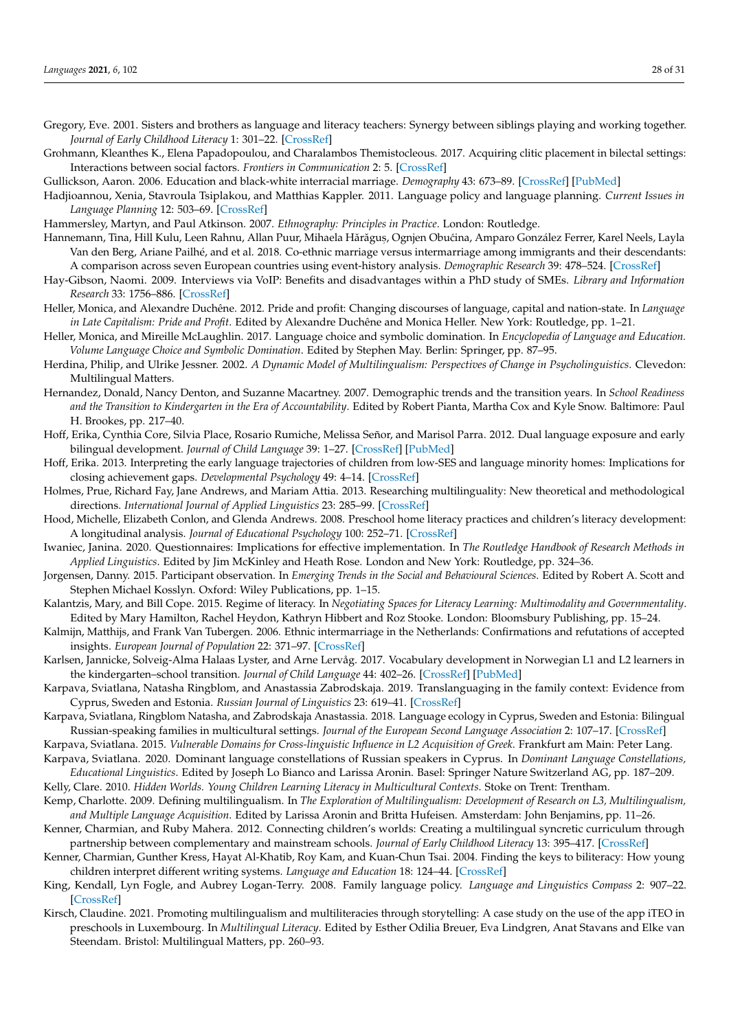- <span id="page-27-7"></span>Gregory, Eve. 2001. Sisters and brothers as language and literacy teachers: Synergy between siblings playing and working together. *Journal of Early Childhood Literacy* 1: 301–22. [\[CrossRef\]](http://doi.org/10.1177/14687984010013004)
- <span id="page-27-18"></span>Grohmann, Kleanthes K., Elena Papadopoulou, and Charalambos Themistocleous. 2017. Acquiring clitic placement in bilectal settings: Interactions between social factors. *Frontiers in Communication* 2: 5. [\[CrossRef\]](http://doi.org/10.3389/fcomm.2017.00005)

<span id="page-27-15"></span>Gullickson, Aaron. 2006. Education and black-white interracial marriage. *Demography* 43: 673–89. [\[CrossRef\]](http://doi.org/10.1353/dem.2006.0033) [\[PubMed\]](http://www.ncbi.nlm.nih.gov/pubmed/17236541)

<span id="page-27-17"></span>Hadjioannou, Xenia, Stavroula Tsiplakou, and Matthias Kappler. 2011. Language policy and language planning. *Current Issues in Language Planning* 12: 503–69. [\[CrossRef\]](http://doi.org/10.1080/14664208.2011.629113)

<span id="page-27-26"></span>Hammersley, Martyn, and Paul Atkinson. 2007. *Ethnography: Principles in Practice*. London: Routledge.

- <span id="page-27-13"></span>Hannemann, Tina, Hill Kulu, Leen Rahnu, Allan Puur, Mihaela Hărăguș, Ognjen Obućina, Amparo González Ferrer, Karel Neels, Layla Van den Berg, Ariane Pailhé, and et al. 2018. Co-ethnic marriage versus intermarriage among immigrants and their descendants: A comparison across seven European countries using event-history analysis. *Demographic Research* 39: 478–524. [\[CrossRef\]](http://doi.org/10.4054/DemRes.2018.39.17)
- <span id="page-27-24"></span>Hay-Gibson, Naomi. 2009. Interviews via VoIP: Benefits and disadvantages within a PhD study of SMEs. *Library and Information Research* 33: 1756–886. [\[CrossRef\]](http://doi.org/10.29173/lirg111)
- <span id="page-27-28"></span>Heller, Monica, and Alexandre Duchêne. 2012. Pride and profit: Changing discourses of language, capital and nation-state. In *Language in Late Capitalism: Pride and Profit*. Edited by Alexandre Duchêne and Monica Heller. New York: Routledge, pp. 1–21.
- <span id="page-27-16"></span>Heller, Monica, and Mireille McLaughlin. 2017. Language choice and symbolic domination. In *Encyclopedia of Language and Education. Volume Language Choice and Symbolic Domination*. Edited by Stephen May. Berlin: Springer, pp. 87–95.
- <span id="page-27-4"></span>Herdina, Philip, and Ulrike Jessner. 2002. *A Dynamic Model of Multilingualism: Perspectives of Change in Psycholinguistics*. Clevedon: Multilingual Matters.
- <span id="page-27-1"></span>Hernandez, Donald, Nancy Denton, and Suzanne Macartney. 2007. Demographic trends and the transition years. In *School Readiness and the Transition to Kindergarten in the Era of Accountability*. Edited by Robert Pianta, Martha Cox and Kyle Snow. Baltimore: Paul H. Brookes, pp. 217–40.
- <span id="page-27-29"></span>Hoff, Erika, Cynthia Core, Silvia Place, Rosario Rumiche, Melissa Señor, and Marisol Parra. 2012. Dual language exposure and early bilingual development. *Journal of Child Language* 39: 1–27. [\[CrossRef\]](http://doi.org/10.1017/S0305000910000759) [\[PubMed\]](http://www.ncbi.nlm.nih.gov/pubmed/21418730)
- <span id="page-27-11"></span>Hoff, Erika. 2013. Interpreting the early language trajectories of children from low-SES and language minority homes: Implications for closing achievement gaps. *Developmental Psychology* 49: 4–14. [\[CrossRef\]](http://doi.org/10.1037/a0027238)
- <span id="page-27-25"></span>Holmes, Prue, Richard Fay, Jane Andrews, and Mariam Attia. 2013. Researching multilinguality: New theoretical and methodological directions. *International Journal of Applied Linguistics* 23: 285–99. [\[CrossRef\]](http://doi.org/10.1111/ijal.12038)
- <span id="page-27-2"></span>Hood, Michelle, Elizabeth Conlon, and Glenda Andrews. 2008. Preschool home literacy practices and children's literacy development: A longitudinal analysis. *Journal of Educational Psychology* 100: 252–71. [\[CrossRef\]](http://doi.org/10.1037/0022-0663.100.2.252)
- <span id="page-27-23"></span>Iwaniec, Janina. 2020. Questionnaires: Implications for effective implementation. In *The Routledge Handbook of Research Methods in Applied Linguistics*. Edited by Jim McKinley and Heath Rose. London and New York: Routledge, pp. 324–36.
- <span id="page-27-27"></span>Jorgensen, Danny. 2015. Participant observation. In *Emerging Trends in the Social and Behavioural Sciences*. Edited by Robert A. Scott and Stephen Michael Kosslyn. Oxford: Wiley Publications, pp. 1–15.
- <span id="page-27-0"></span>Kalantzis, Mary, and Bill Cope. 2015. Regime of literacy. In *Negotiating Spaces for Literacy Learning: Multimodality and Governmentality*. Edited by Mary Hamilton, Rachel Heydon, Kathryn Hibbert and Roz Stooke. London: Bloomsbury Publishing, pp. 15–24.
- <span id="page-27-14"></span>Kalmijn, Matthijs, and Frank Van Tubergen. 2006. Ethnic intermarriage in the Netherlands: Confirmations and refutations of accepted insights. *European Journal of Population* 22: 371–97. [\[CrossRef\]](http://doi.org/10.1007/s10680-006-9105-3)
- <span id="page-27-12"></span>Karlsen, Jannicke, Solveig-Alma Halaas Lyster, and Arne Lervåg. 2017. Vocabulary development in Norwegian L1 and L2 learners in the kindergarten–school transition. *Journal of Child Language* 44: 402–26. [\[CrossRef\]](http://doi.org/10.1017/S0305000916000106) [\[PubMed\]](http://www.ncbi.nlm.nih.gov/pubmed/26951479)
- <span id="page-27-22"></span>Karpava, Sviatlana, Natasha Ringblom, and Anastassia Zabrodskaja. 2019. Translanguaging in the family context: Evidence from Cyprus, Sweden and Estonia. *Russian Journal of Linguistics* 23: 619–41. [\[CrossRef\]](http://doi.org/10.22363/2312-9182-2019-23-3-619-641)
- <span id="page-27-20"></span>Karpava, Sviatlana, Ringblom Natasha, and Zabrodskaja Anastassia. 2018. Language ecology in Cyprus, Sweden and Estonia: Bilingual Russian-speaking families in multicultural settings. *Journal of the European Second Language Association* 2: 107–17. [\[CrossRef\]](http://doi.org/10.22599/jesla.41)
- <span id="page-27-21"></span><span id="page-27-19"></span>Karpava, Sviatlana. 2015. *Vulnerable Domains for Cross-linguistic Influence in L2 Acquisition of Greek*. Frankfurt am Main: Peter Lang. Karpava, Sviatlana. 2020. Dominant language constellations of Russian speakers in Cyprus. In *Dominant Language Constellations,*
- <span id="page-27-6"></span>*Educational Linguistics*. Edited by Joseph Lo Bianco and Larissa Aronin. Basel: Springer Nature Switzerland AG, pp. 187–209. Kelly, Clare. 2010. *Hidden Worlds. Young Children Learning Literacy in Multicultural Contexts*. Stoke on Trent: Trentham.
- <span id="page-27-5"></span>Kemp, Charlotte. 2009. Defining multilingualism. In *The Exploration of Multilingualism: Development of Research on L3, Multilingualism, and Multiple Language Acquisition*. Edited by Larissa Aronin and Britta Hufeisen. Amsterdam: John Benjamins, pp. 11–26.
- <span id="page-27-10"></span>Kenner, Charmian, and Ruby Mahera. 2012. Connecting children's worlds: Creating a multilingual syncretic curriculum through partnership between complementary and mainstream schools. *Journal of Early Childhood Literacy* 13: 395–417. [\[CrossRef\]](http://doi.org/10.1177/1468798412466404)
- <span id="page-27-8"></span>Kenner, Charmian, Gunther Kress, Hayat Al-Khatib, Roy Kam, and Kuan-Chun Tsai. 2004. Finding the keys to biliteracy: How young children interpret different writing systems. *Language and Education* 18: 124–44. [\[CrossRef\]](http://doi.org/10.1080/09500780408666871)
- <span id="page-27-3"></span>King, Kendall, Lyn Fogle, and Aubrey Logan-Terry. 2008. Family language policy. *Language and Linguistics Compass* 2: 907–22. [\[CrossRef\]](http://doi.org/10.1111/j.1749-818X.2008.00076.x)
- <span id="page-27-9"></span>Kirsch, Claudine. 2021. Promoting multilingualism and multiliteracies through storytelling: A case study on the use of the app iTEO in preschools in Luxembourg. In *Multilingual Literacy*. Edited by Esther Odilia Breuer, Eva Lindgren, Anat Stavans and Elke van Steendam. Bristol: Multilingual Matters, pp. 260–93.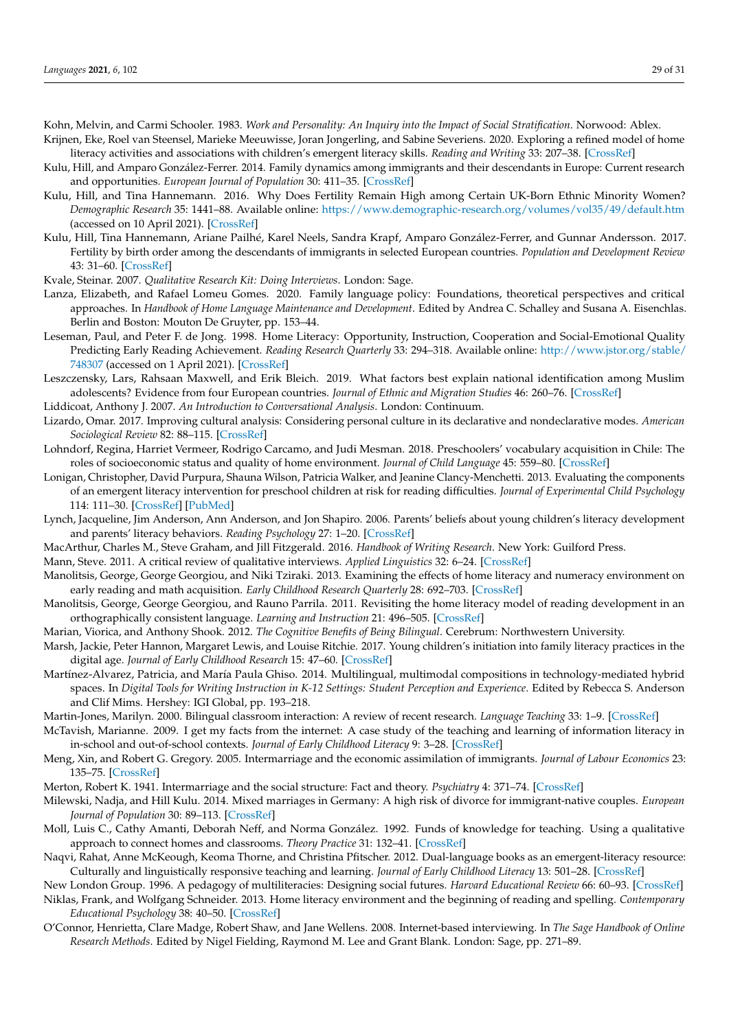<span id="page-28-24"></span><span id="page-28-0"></span>Kohn, Melvin, and Carmi Schooler. 1983. *Work and Personality: An Inquiry into the Impact of Social Stratification*. Norwood: Ablex. Krijnen, Eke, Roel van Steensel, Marieke Meeuwisse, Joran Jongerling, and Sabine Severiens. 2020. Exploring a refined model of home

literacy activities and associations with children's emergent literacy skills. *Reading and Writing* 33: 207–38. [\[CrossRef\]](http://doi.org/10.1007/s11145-019-09957-4)

- <span id="page-28-18"></span>Kulu, Hill, and Amparo González-Ferrer. 2014. Family dynamics among immigrants and their descendants in Europe: Current research and opportunities. *European Journal of Population* 30: 411–35. [\[CrossRef\]](http://doi.org/10.1007/s10680-014-9322-0)
- <span id="page-28-16"></span>Kulu, Hill, and Tina Hannemann. 2016. Why Does Fertility Remain High among Certain UK-Born Ethnic Minority Women? *Demographic Research* 35: 1441–88. Available online: <https://www.demographic-research.org/volumes/vol35/49/default.htm> (accessed on 10 April 2021). [\[CrossRef\]](http://doi.org/10.4054/DemRes.2016.35.49)
- <span id="page-28-17"></span>Kulu, Hill, Tina Hannemann, Ariane Pailhé, Karel Neels, Sandra Krapf, Amparo González-Ferrer, and Gunnar Andersson. 2017. Fertility by birth order among the descendants of immigrants in selected European countries. *Population and Development Review* 43: 31–60. [\[CrossRef\]](http://doi.org/10.1111/padr.12037)
- <span id="page-28-26"></span>Kvale, Steinar. 2007. *Qualitative Research Kit: Doing Interviews*. London: Sage.
- <span id="page-28-12"></span>Lanza, Elizabeth, and Rafael Lomeu Gomes. 2020. Family language policy: Foundations, theoretical perspectives and critical approaches. In *Handbook of Home Language Maintenance and Development*. Edited by Andrea C. Schalley and Susana A. Eisenchlas. Berlin and Boston: Mouton De Gruyter, pp. 153–44.
- <span id="page-28-25"></span>Leseman, Paul, and Peter F. de Jong. 1998. Home Literacy: Opportunity, Instruction, Cooperation and Social-Emotional Quality Predicting Early Reading Achievement. *Reading Research Quarterly* 33: 294–318. Available online: [http://www.jstor.org/stable/](http://www.jstor.org/stable/748307) [748307](http://www.jstor.org/stable/748307) (accessed on 1 April 2021). [\[CrossRef\]](http://doi.org/10.1598/RRQ.33.3.3)
- <span id="page-28-22"></span>Leszczensky, Lars, Rahsaan Maxwell, and Erik Bleich. 2019. What factors best explain national identification among Muslim adolescents? Evidence from four European countries. *Journal of Ethnic and Migration Studies* 46: 260–76. [\[CrossRef\]](http://doi.org/10.1080/1369183X.2019.1578203)
- <span id="page-28-29"></span>Liddicoat, Anthony J. 2007. *An Introduction to Conversational Analysis*. London: Continuum.
- <span id="page-28-23"></span>Lizardo, Omar. 2017. Improving cultural analysis: Considering personal culture in its declarative and nondeclarative modes. *American Sociological Review* 82: 88–115. [\[CrossRef\]](http://doi.org/10.1177/0003122416675175)
- <span id="page-28-13"></span>Lohndorf, Regina, Harriet Vermeer, Rodrigo Carcamo, and Judi Mesman. 2018. Preschoolers' vocabulary acquisition in Chile: The roles of socioeconomic status and quality of home environment. *Journal of Child Language* 45: 559–80. [\[CrossRef\]](http://doi.org/10.1017/S0305000917000332)
- <span id="page-28-15"></span>Lonigan, Christopher, David Purpura, Shauna Wilson, Patricia Walker, and Jeanine Clancy-Menchetti. 2013. Evaluating the components of an emergent literacy intervention for preschool children at risk for reading difficulties. *Journal of Experimental Child Psychology* 114: 111–30. [\[CrossRef\]](http://doi.org/10.1016/j.jecp.2012.08.010) [\[PubMed\]](http://www.ncbi.nlm.nih.gov/pubmed/23073367)
- <span id="page-28-10"></span>Lynch, Jacqueline, Jim Anderson, Ann Anderson, and Jon Shapiro. 2006. Parents' beliefs about young children's literacy development and parents' literacy behaviors. *Reading Psychology* 27: 1–20. [\[CrossRef\]](http://doi.org/10.1080/02702710500468708)
- <span id="page-28-2"></span>MacArthur, Charles M., Steve Graham, and Jill Fitzgerald. 2016. *Handbook of Writing Research*. New York: Guilford Press.
- <span id="page-28-28"></span>Mann, Steve. 2011. A critical review of qualitative interviews. *Applied Linguistics* 32: 6–24. [\[CrossRef\]](http://doi.org/10.1093/applin/amq043)
- <span id="page-28-9"></span>Manolitsis, George, George Georgiou, and Niki Tziraki. 2013. Examining the effects of home literacy and numeracy environment on early reading and math acquisition. *Early Childhood Research Quarterly* 28: 692–703. [\[CrossRef\]](http://doi.org/10.1016/j.ecresq.2013.05.004)
- <span id="page-28-11"></span>Manolitsis, George, George Georgiou, and Rauno Parrila. 2011. Revisiting the home literacy model of reading development in an orthographically consistent language. *Learning and Instruction* 21: 496–505. [\[CrossRef\]](http://doi.org/10.1016/j.learninstruc.2010.06.005)
- <span id="page-28-30"></span>Marian, Viorica, and Anthony Shook. 2012. *The Cognitive Benefits of Being Bilingual*. Cerebrum: Northwestern University.
- <span id="page-28-1"></span>Marsh, Jackie, Peter Hannon, Margaret Lewis, and Louise Ritchie. 2017. Young children's initiation into family literacy practices in the digital age. *Journal of Early Childhood Research* 15: 47–60. [\[CrossRef\]](http://doi.org/10.1177/1476718X15582095)
- <span id="page-28-7"></span>Martínez-Alvarez, Patricia, and María Paula Ghiso. 2014. Multilingual, multimodal compositions in technology-mediated hybrid spaces. In *Digital Tools for Writing Instruction in K-12 Settings: Student Perception and Experience*. Edited by Rebecca S. Anderson and Clif Mims. Hershey: IGI Global, pp. 193–218.
- <span id="page-28-3"></span>Martin-Jones, Marilyn. 2000. Bilingual classroom interaction: A review of recent research. *Language Teaching* 33: 1–9. [\[CrossRef\]](http://doi.org/10.1017/S0261444800015123)
- <span id="page-28-4"></span>McTavish, Marianne. 2009. I get my facts from the internet: A case study of the teaching and learning of information literacy in in-school and out-of-school contexts. *Journal of Early Childhood Literacy* 9: 3–28. [\[CrossRef\]](http://doi.org/10.1177/1468798408101104)
- <span id="page-28-20"></span>Meng, Xin, and Robert G. Gregory. 2005. Intermarriage and the economic assimilation of immigrants. *Journal of Labour Economics* 23: 135–75. [\[CrossRef\]](http://doi.org/10.1086/425436)
- <span id="page-28-21"></span>Merton, Robert K. 1941. Intermarriage and the social structure: Fact and theory. *Psychiatry* 4: 371–74. [\[CrossRef\]](http://doi.org/10.1080/00332747.1941.11022354)
- <span id="page-28-19"></span>Milewski, Nadja, and Hill Kulu. 2014. Mixed marriages in Germany: A high risk of divorce for immigrant-native couples. *European Journal of Population* 30: 89–113. [\[CrossRef\]](http://doi.org/10.1007/s10680-013-9298-1)
- <span id="page-28-5"></span>Moll, Luis C., Cathy Amanti, Deborah Neff, and Norma González. 1992. Funds of knowledge for teaching. Using a qualitative approach to connect homes and classrooms. *Theory Practice* 31: 132–41. [\[CrossRef\]](http://doi.org/10.1080/00405849209543534)
- <span id="page-28-8"></span>Naqvi, Rahat, Anne McKeough, Keoma Thorne, and Christina Pfitscher. 2012. Dual-language books as an emergent-literacy resource: Culturally and linguistically responsive teaching and learning. *Journal of Early Childhood Literacy* 13: 501–28. [\[CrossRef\]](http://doi.org/10.1177/1468798412442886)
- <span id="page-28-14"></span><span id="page-28-6"></span>New London Group. 1996. A pedagogy of multiliteracies: Designing social futures. *Harvard Educational Review* 66: 60–93. [\[CrossRef\]](http://doi.org/10.17763/haer.66.1.17370n67v22j160u) Niklas, Frank, and Wolfgang Schneider. 2013. Home literacy environment and the beginning of reading and spelling. *Contemporary*
- <span id="page-28-27"></span>*Educational Psychology* 38: 40–50. [\[CrossRef\]](http://doi.org/10.1016/j.cedpsych.2012.10.001) O'Connor, Henrietta, Clare Madge, Robert Shaw, and Jane Wellens. 2008. Internet-based interviewing. In *The Sage Handbook of Online*
- *Research Methods*. Edited by Nigel Fielding, Raymond M. Lee and Grant Blank. London: Sage, pp. 271–89.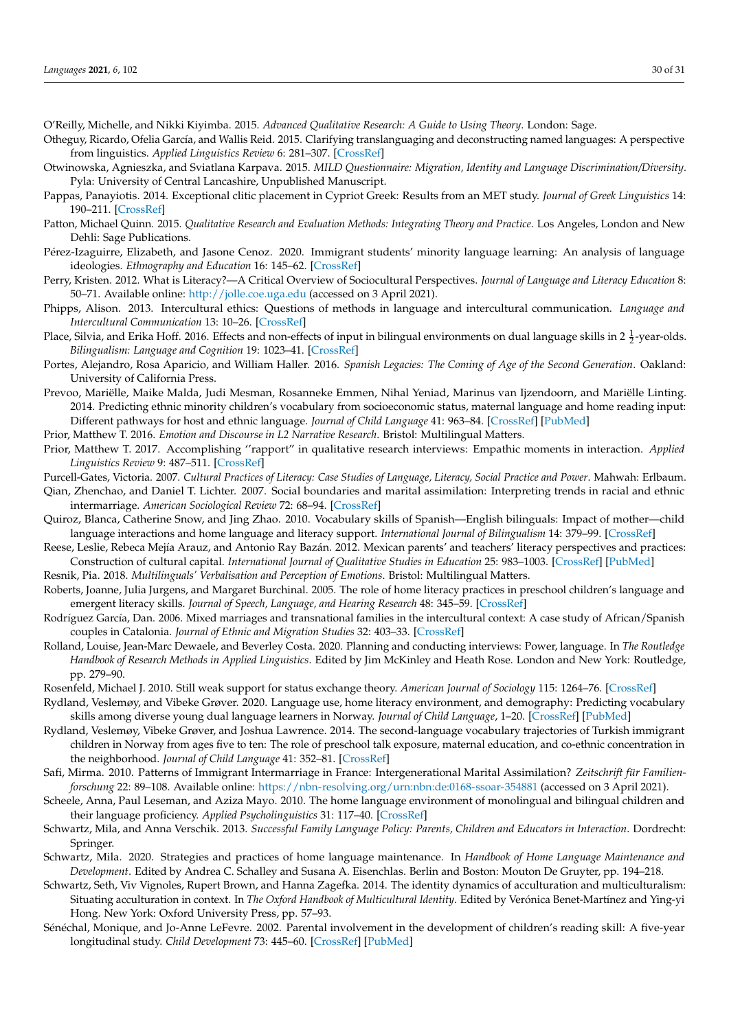- <span id="page-29-20"></span>O'Reilly, Michelle, and Nikki Kiyimba. 2015. *Advanced Qualitative Research: A Guide to Using Theory*. London: Sage.
- <span id="page-29-1"></span>Otheguy, Ricardo, Ofelia García, and Wallis Reid. 2015. Clarifying translanguaging and deconstructing named languages: A perspective from linguistics. *Applied Linguistics Review* 6: 281–307. [\[CrossRef\]](http://doi.org/10.1515/applirev-2015-0014)
- <span id="page-29-18"></span>Otwinowska, Agnieszka, and Sviatlana Karpava. 2015. *MILD Questionnaire: Migration, Identity and Language Discrimination/Diversity*. Pyla: University of Central Lancashire, Unpublished Manuscript.
- <span id="page-29-17"></span>Pappas, Panayiotis. 2014. Exceptional clitic placement in Cypriot Greek: Results from an MET study. *Journal of Greek Linguistics* 14: 190–211. [\[CrossRef\]](http://doi.org/10.1163/15699846-01402002)
- <span id="page-29-25"></span>Patton, Michael Quinn. 2015. *Qualitative Research and Evaluation Methods: Integrating Theory and Practice*. Los Angeles, London and New Dehli: Sage Publications.
- <span id="page-29-14"></span>Pérez-Izaguirre, Elizabeth, and Jasone Cenoz. 2020. Immigrant students' minority language learning: An analysis of language ideologies. *Ethnography and Education* 16: 145–62. [\[CrossRef\]](http://doi.org/10.1080/17457823.2020.1818598)
- <span id="page-29-26"></span>Perry, Kristen. 2012. What is Literacy?—A Critical Overview of Sociocultural Perspectives. *Journal of Language and Literacy Education* 8: 50–71. Available online: <http://jolle.coe.uga.edu> (accessed on 3 April 2021).
- <span id="page-29-21"></span>Phipps, Alison. 2013. Intercultural ethics: Questions of methods in language and intercultural communication. *Language and Intercultural Communication* 13: 10–26. [\[CrossRef\]](http://doi.org/10.1080/14708477.2012.748787)
- <span id="page-29-4"></span>Place, Silvia, and Erika Hoff. 2016. Effects and non-effects of input in bilingual environments on dual language skills in 2  $\frac{1}{2}$ -year-olds. *Bilingualism: Language and Cognition* 19: 1023–41. [\[CrossRef\]](http://doi.org/10.1017/S1366728915000322)
- <span id="page-29-16"></span>Portes, Alejandro, Rosa Aparicio, and William Haller. 2016. *Spanish Legacies: The Coming of Age of the Second Generation*. Oakland: University of California Press.
- <span id="page-29-8"></span>Prevoo, Mariëlle, Maike Malda, Judi Mesman, Rosanneke Emmen, Nihal Yeniad, Marinus van Ijzendoorn, and Mariëlle Linting. 2014. Predicting ethnic minority children's vocabulary from socioeconomic status, maternal language and home reading input: Different pathways for host and ethnic language. *Journal of Child Language* 41: 963–84. [\[CrossRef\]](http://doi.org/10.1017/S0305000913000299) [\[PubMed\]](http://www.ncbi.nlm.nih.gov/pubmed/24067295)
- <span id="page-29-23"></span>Prior, Matthew T. 2016. *Emotion and Discourse in L2 Narrative Research*. Bristol: Multilingual Matters.
- <span id="page-29-24"></span>Prior, Matthew T. 2017. Accomplishing ''rapport" in qualitative research interviews: Empathic moments in interaction. *Applied Linguistics Review* 9: 487–511. [\[CrossRef\]](http://doi.org/10.1515/applirev-2017-0029)
- <span id="page-29-2"></span>Purcell-Gates, Victoria. 2007. *Cultural Practices of Literacy: Case Studies of Language, Literacy, Social Practice and Power*. Mahwah: Erlbaum.
- <span id="page-29-11"></span>Qian, Zhenchao, and Daniel T. Lichter. 2007. Social boundaries and marital assimilation: Interpreting trends in racial and ethnic intermarriage. *American Sociological Review* 72: 68–94. [\[CrossRef\]](http://doi.org/10.1177/000312240707200104)
- <span id="page-29-27"></span>Quiroz, Blanca, Catherine Snow, and Jing Zhao. 2010. Vocabulary skills of Spanish—English bilinguals: Impact of mother—child language interactions and home language and literacy support. *International Journal of Bilingualism* 14: 379–99. [\[CrossRef\]](http://doi.org/10.1177/1367006910370919)
- <span id="page-29-5"></span>Reese, Leslie, Rebeca Mejía Arauz, and Antonio Ray Bazán. 2012. Mexican parents' and teachers' literacy perspectives and practices: Construction of cultural capital. *International Journal of Qualitative Studies in Education* 25: 983–1003. [\[CrossRef\]](http://doi.org/10.1080/09518398.2011.594818) [\[PubMed\]](http://www.ncbi.nlm.nih.gov/pubmed/23288984)
- <span id="page-29-22"></span>Resnik, Pia. 2018. *Multilinguals' Verbalisation and Perception of Emotions*. Bristol: Multilingual Matters.
- <span id="page-29-0"></span>Roberts, Joanne, Julia Jurgens, and Margaret Burchinal. 2005. The role of home literacy practices in preschool children's language and emergent literacy skills. *Journal of Speech, Language, and Hearing Research* 48: 345–59. [\[CrossRef\]](http://doi.org/10.1044/1092-4388(2005/024))
- <span id="page-29-13"></span>Rodríguez García, Dan. 2006. Mixed marriages and transnational families in the intercultural context: A case study of African/Spanish couples in Catalonia. *Journal of Ethnic and Migration Studies* 32: 403–33. [\[CrossRef\]](http://doi.org/10.1080/13691830600555186)
- <span id="page-29-19"></span>Rolland, Louise, Jean-Marc Dewaele, and Beverley Costa. 2020. Planning and conducting interviews: Power, language. In *The Routledge Handbook of Research Methods in Applied Linguistics*. Edited by Jim McKinley and Heath Rose. London and New York: Routledge, pp. 279–90.
- <span id="page-29-12"></span><span id="page-29-9"></span>Rosenfeld, Michael J. 2010. Still weak support for status exchange theory. *American Journal of Sociology* 115: 1264–76. [\[CrossRef\]](http://doi.org/10.1086/649051)
- Rydland, Veslemøy, and Vibeke Grøver. 2020. Language use, home literacy environment, and demography: Predicting vocabulary skills among diverse young dual language learners in Norway. *Journal of Child Language*, 1–20. [\[CrossRef\]](http://doi.org/10.1017/S0305000920000495) [\[PubMed\]](http://www.ncbi.nlm.nih.gov/pubmed/33023680)
- <span id="page-29-29"></span>Rydland, Veslemøy, Vibeke Grøver, and Joshua Lawrence. 2014. The second-language vocabulary trajectories of Turkish immigrant children in Norway from ages five to ten: The role of preschool talk exposure, maternal education, and co-ethnic concentration in the neighborhood. *Journal of Child Language* 41: 352–81. [\[CrossRef\]](http://doi.org/10.1017/S0305000912000712)
- <span id="page-29-10"></span>Safi, Mirma. 2010. Patterns of Immigrant Intermarriage in France: Intergenerational Marital Assimilation? *Zeitschrift für Familienforschung* 22: 89–108. Available online: <https://nbn-resolving.org/urn:nbn:de:0168-ssoar-354881> (accessed on 3 April 2021).
- <span id="page-29-28"></span>Scheele, Anna, Paul Leseman, and Aziza Mayo. 2010. The home language environment of monolingual and bilingual children and their language proficiency. *Applied Psycholinguistics* 31: 117–40. [\[CrossRef\]](http://doi.org/10.1017/S0142716409990191)
- <span id="page-29-7"></span>Schwartz, Mila, and Anna Verschik. 2013. *Successful Family Language Policy: Parents, Children and Educators in Interaction*. Dordrecht: Springer.
- <span id="page-29-6"></span>Schwartz, Mila. 2020. Strategies and practices of home language maintenance. In *Handbook of Home Language Maintenance and Development*. Edited by Andrea C. Schalley and Susana A. Eisenchlas. Berlin and Boston: Mouton De Gruyter, pp. 194–218.
- <span id="page-29-15"></span>Schwartz, Seth, Viv Vignoles, Rupert Brown, and Hanna Zagefka. 2014. The identity dynamics of acculturation and multiculturalism: Situating acculturation in context. In *The Oxford Handbook of Multicultural Identity*. Edited by Verónica Benet-Martínez and Ying-yi Hong. New York: Oxford University Press, pp. 57–93.
- <span id="page-29-3"></span>Sénéchal, Monique, and Jo-Anne LeFevre. 2002. Parental involvement in the development of children's reading skill: A five-year longitudinal study. *Child Development* 73: 445–60. [\[CrossRef\]](http://doi.org/10.1111/1467-8624.00417) [\[PubMed\]](http://www.ncbi.nlm.nih.gov/pubmed/11949902)